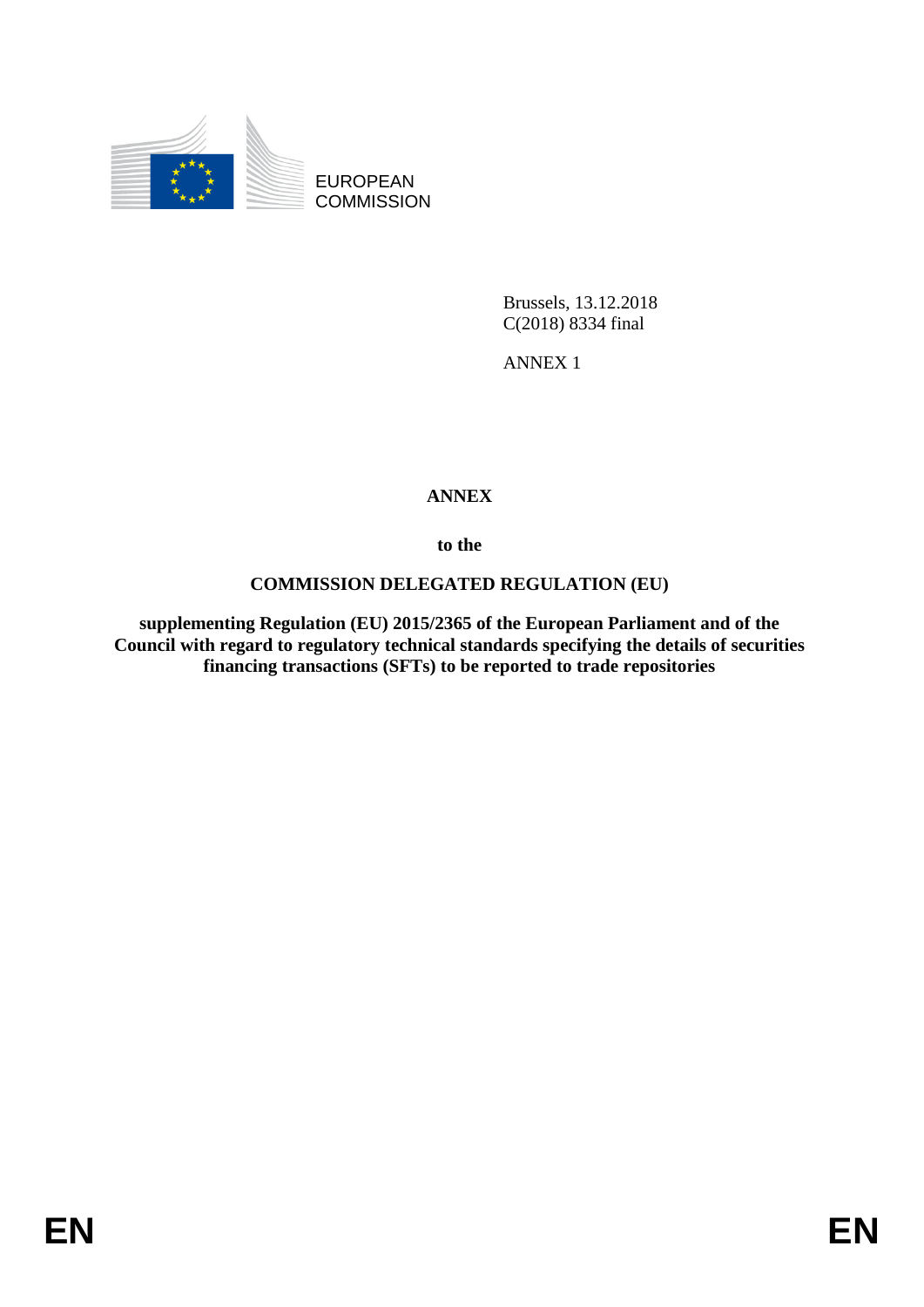

EUROPEAN **COMMISSION** 

> Brussels, 13.12.2018 C(2018) 8334 final

ANNEX 1

## **ANNEX**

**to the**

### **COMMISSION DELEGATED REGULATION (EU)**

**supplementing Regulation (EU) 2015/2365 of the European Parliament and of the Council with regard to regulatory technical standards specifying the details of securities financing transactions (SFTs) to be reported to trade repositories**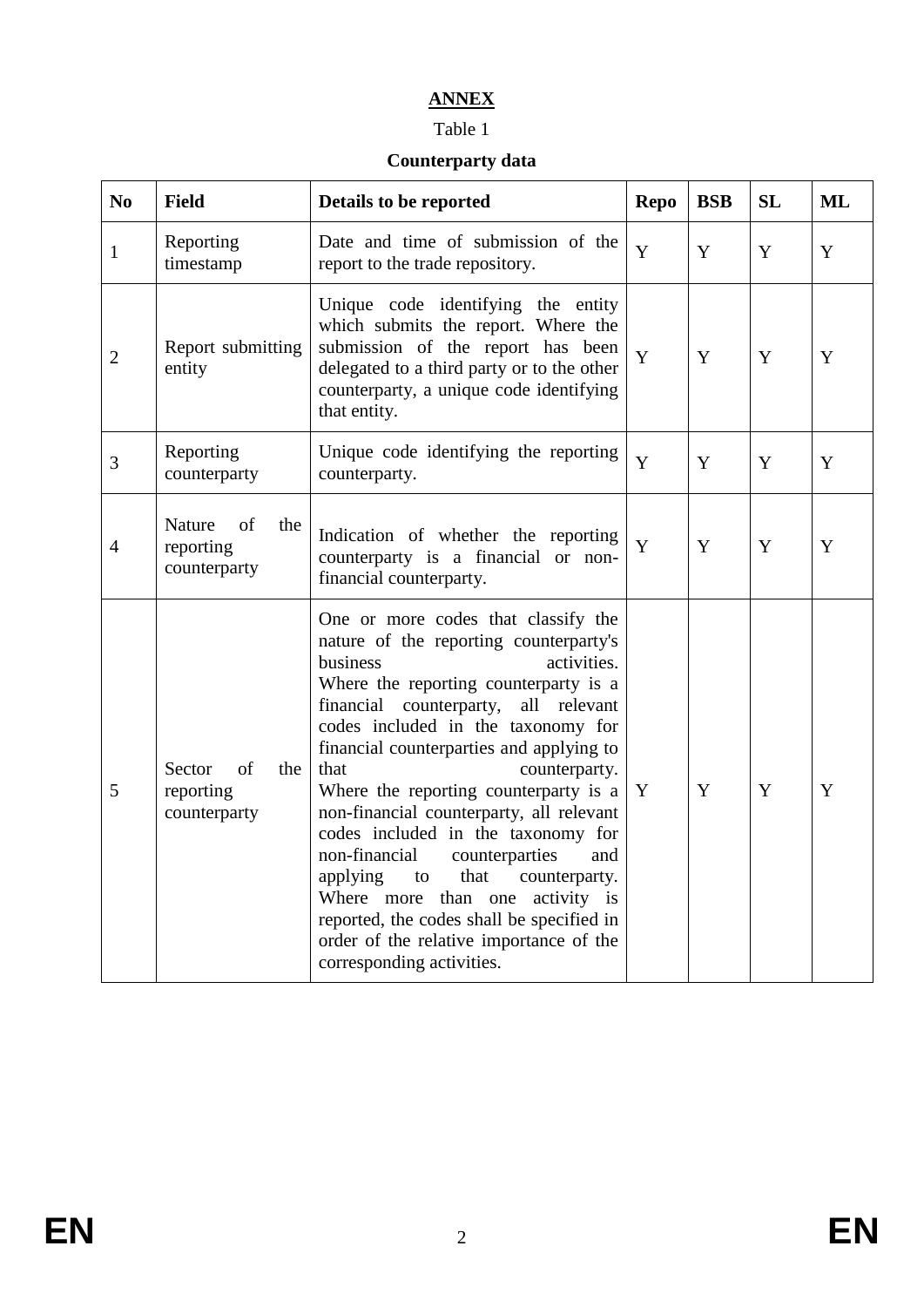# **ANNEX**

#### Table 1

### **Counterparty data**

| N <sub>0</sub> | <b>Field</b>                                     | Details to be reported                                                                                                                                                                                                                                                                                                                                                                                                                                                                                                                                                                                                                                                             | <b>Repo</b> | <b>BSB</b> | <b>SL</b> | ML |
|----------------|--------------------------------------------------|------------------------------------------------------------------------------------------------------------------------------------------------------------------------------------------------------------------------------------------------------------------------------------------------------------------------------------------------------------------------------------------------------------------------------------------------------------------------------------------------------------------------------------------------------------------------------------------------------------------------------------------------------------------------------------|-------------|------------|-----------|----|
| $\mathbf{1}$   | Reporting<br>timestamp                           | Date and time of submission of the<br>report to the trade repository.                                                                                                                                                                                                                                                                                                                                                                                                                                                                                                                                                                                                              | Y           | Y          | Y         | Y  |
| $\overline{2}$ | Report submitting<br>entity                      | Unique code identifying the entity<br>which submits the report. Where the<br>submission of the report has been<br>delegated to a third party or to the other<br>counterparty, a unique code identifying<br>that entity.                                                                                                                                                                                                                                                                                                                                                                                                                                                            | Y           | Y          | Y         | Y  |
| 3              | Reporting<br>counterparty                        | Unique code identifying the reporting<br>counterparty.                                                                                                                                                                                                                                                                                                                                                                                                                                                                                                                                                                                                                             | Y           | Y          | Y         | Y  |
| $\overline{4}$ | Nature<br>of<br>the<br>reporting<br>counterparty | Indication of whether the reporting<br>counterparty is a financial or non-<br>financial counterparty.                                                                                                                                                                                                                                                                                                                                                                                                                                                                                                                                                                              | Y           | Y          | Y         | Y  |
| 5              | Sector<br>of<br>the<br>reporting<br>counterparty | One or more codes that classify the<br>nature of the reporting counterparty's<br>business<br>activities.<br>Where the reporting counterparty is a<br>financial counterparty,<br>all relevant<br>codes included in the taxonomy for<br>financial counterparties and applying to<br>that<br>counterparty.<br>Where the reporting counterparty is a<br>non-financial counterparty, all relevant<br>codes included in the taxonomy for<br>non-financial<br>counterparties<br>and<br>that<br>applying<br>counterparty.<br>to<br>activity is<br>Where more than one<br>reported, the codes shall be specified in<br>order of the relative importance of the<br>corresponding activities. | Y           | Y          | Y         | Y  |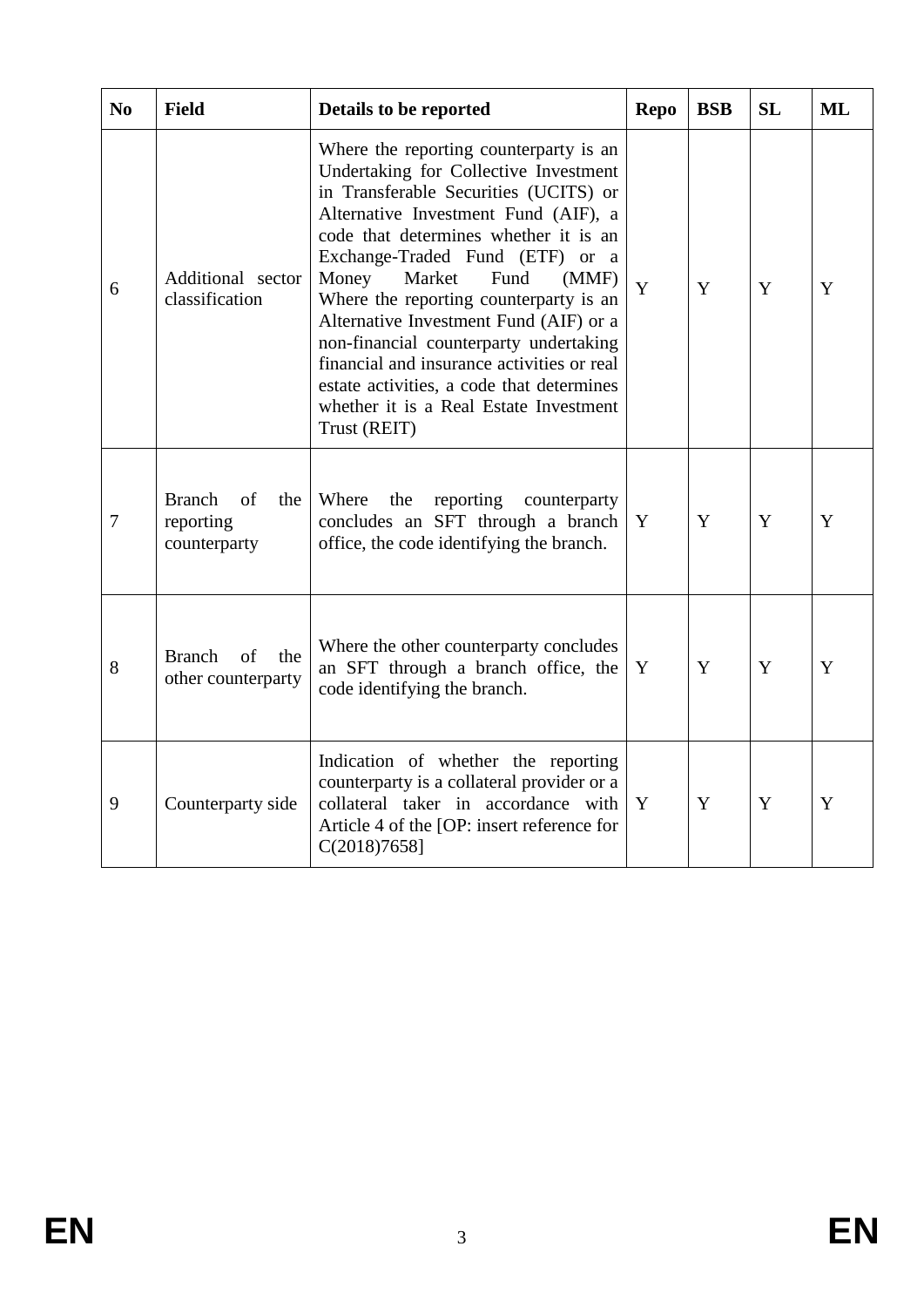| N <sub>0</sub> | <b>Field</b>                                            | Details to be reported                                                                                                                                                                                                                                                                                                                                                                                                                                                                                                                                              | <b>Repo</b> | <b>BSB</b> | <b>SL</b> | ML |
|----------------|---------------------------------------------------------|---------------------------------------------------------------------------------------------------------------------------------------------------------------------------------------------------------------------------------------------------------------------------------------------------------------------------------------------------------------------------------------------------------------------------------------------------------------------------------------------------------------------------------------------------------------------|-------------|------------|-----------|----|
| 6              | Additional sector<br>classification                     | Where the reporting counterparty is an<br>Undertaking for Collective Investment<br>in Transferable Securities (UCITS) or<br>Alternative Investment Fund (AIF), a<br>code that determines whether it is an<br>Exchange-Traded Fund (ETF) or a<br>Money<br>Market<br>Fund<br>(MMF)<br>Where the reporting counterparty is an<br>Alternative Investment Fund (AIF) or a<br>non-financial counterparty undertaking<br>financial and insurance activities or real<br>estate activities, a code that determines<br>whether it is a Real Estate Investment<br>Trust (REIT) | Y           | Y          | Y         | Y  |
| $\overline{7}$ | <b>Branch</b><br>of<br>the<br>reporting<br>counterparty | Where<br>the<br>reporting<br>counterparty<br>concludes an SFT through a branch<br>office, the code identifying the branch.                                                                                                                                                                                                                                                                                                                                                                                                                                          | Y           | Y          | Y         | Y  |
| 8              | <b>Branch</b><br>of<br>the<br>other counterparty        | Where the other counterparty concludes<br>an SFT through a branch office, the<br>code identifying the branch.                                                                                                                                                                                                                                                                                                                                                                                                                                                       | Y           | Y          | Y         | Y  |
| 9              | Counterparty side                                       | Indication of whether the reporting<br>counterparty is a collateral provider or a<br>collateral taker in accordance with<br>Article 4 of the [OP: insert reference for<br>$C(2018)7658$ ]                                                                                                                                                                                                                                                                                                                                                                           | Y           | Y          | Y         | Y  |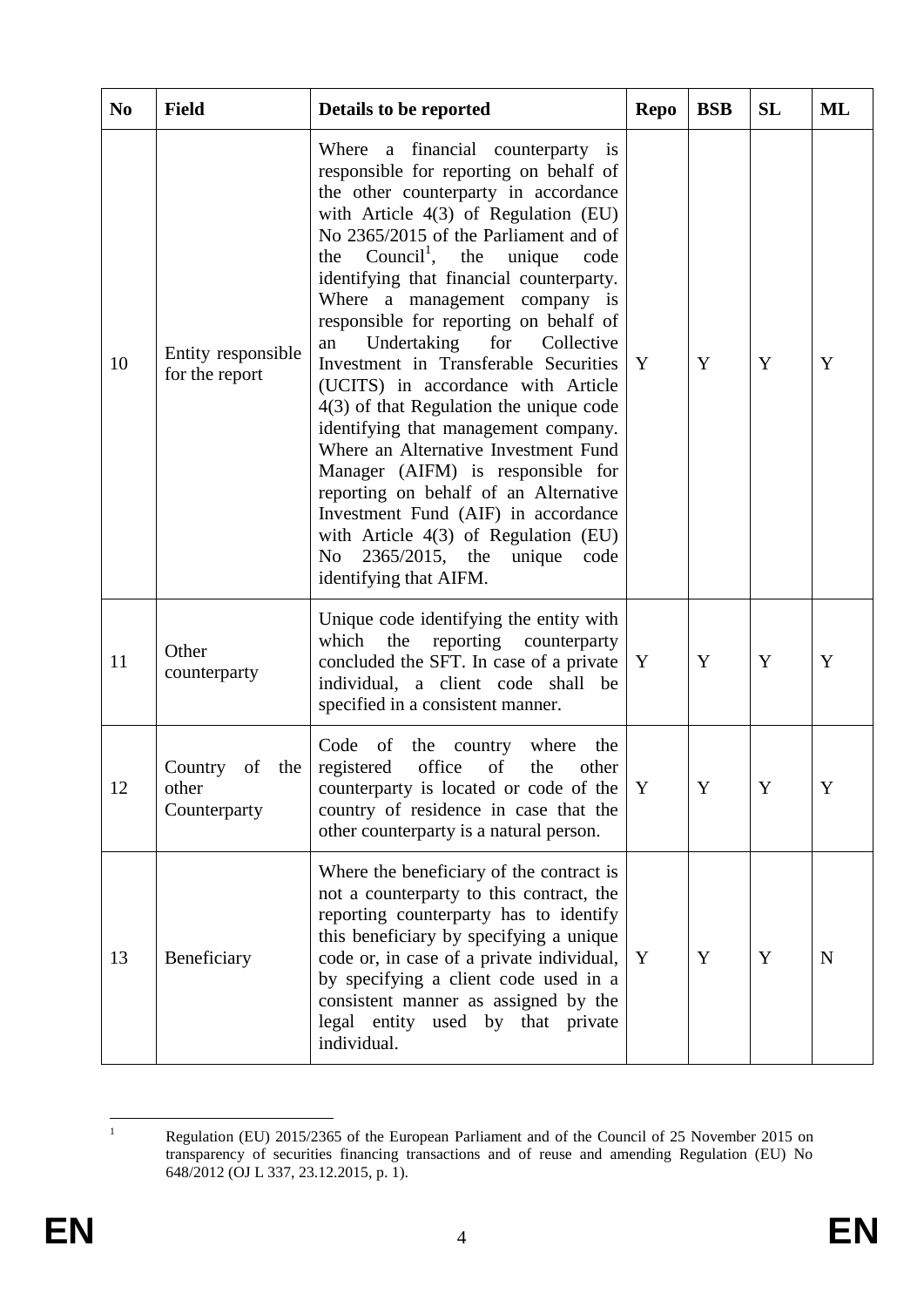| N <sub>0</sub> | <b>Field</b>                                    | Details to be reported                                                                                                                                                                                                                                                                                                                                                                                                                                                                                                                                                                                                                                                                                                                                                                                                                                                | <b>Repo</b> | <b>BSB</b> | SL | ML |
|----------------|-------------------------------------------------|-----------------------------------------------------------------------------------------------------------------------------------------------------------------------------------------------------------------------------------------------------------------------------------------------------------------------------------------------------------------------------------------------------------------------------------------------------------------------------------------------------------------------------------------------------------------------------------------------------------------------------------------------------------------------------------------------------------------------------------------------------------------------------------------------------------------------------------------------------------------------|-------------|------------|----|----|
| 10             | Entity responsible<br>for the report            | Where a financial counterparty is<br>responsible for reporting on behalf of<br>the other counterparty in accordance<br>with Article 4(3) of Regulation (EU)<br>No 2365/2015 of the Parliament and of<br>Council <sup>1</sup> , the unique<br>the<br>code<br>identifying that financial counterparty.<br>Where a management company is<br>responsible for reporting on behalf of<br>Undertaking<br>for<br>Collective<br>an<br>Investment in Transferable Securities<br>(UCITS) in accordance with Article<br>$4(3)$ of that Regulation the unique code<br>identifying that management company.<br>Where an Alternative Investment Fund<br>Manager (AIFM) is responsible for<br>reporting on behalf of an Alternative<br>Investment Fund (AIF) in accordance<br>with Article $4(3)$ of Regulation (EU)<br>No 2365/2015, the<br>unique<br>code<br>identifying that AIFM. | Y           | Y          | Y  | Y  |
| 11             | Other<br>counterparty                           | Unique code identifying the entity with<br>reporting<br>which<br>the<br>counterparty<br>concluded the SFT. In case of a private<br>individual, a client code shall be<br>specified in a consistent manner.                                                                                                                                                                                                                                                                                                                                                                                                                                                                                                                                                                                                                                                            | Y           | Y          | Y  | Y  |
| 12             | Country<br>of<br>the  <br>other<br>Counterparty | Code<br>of<br>the<br>country<br>where<br>the<br>office<br>registered<br>of<br>other<br>the<br>counterparty is located or code of the<br>country of residence in case that the<br>other counterparty is a natural person.                                                                                                                                                                                                                                                                                                                                                                                                                                                                                                                                                                                                                                              | Y           | Y          | Y  | Y  |
| 13             | Beneficiary                                     | Where the beneficiary of the contract is<br>not a counterparty to this contract, the<br>reporting counterparty has to identify<br>this beneficiary by specifying a unique<br>code or, in case of a private individual,<br>by specifying a client code used in a<br>consistent manner as assigned by the<br>legal entity used by that private<br>individual.                                                                                                                                                                                                                                                                                                                                                                                                                                                                                                           | Y           | Y          | Y  | N  |

<sup>&</sup>lt;sup>1</sup> Regulation (EU) 2015/2365 of the European Parliament and of the Council of 25 November 2015 on transparency of securities financing transactions and of reuse and amending Regulation (EU) No 648/2012 (OJ L 337, 23.12.2015, p. 1).

 $\overline{1}$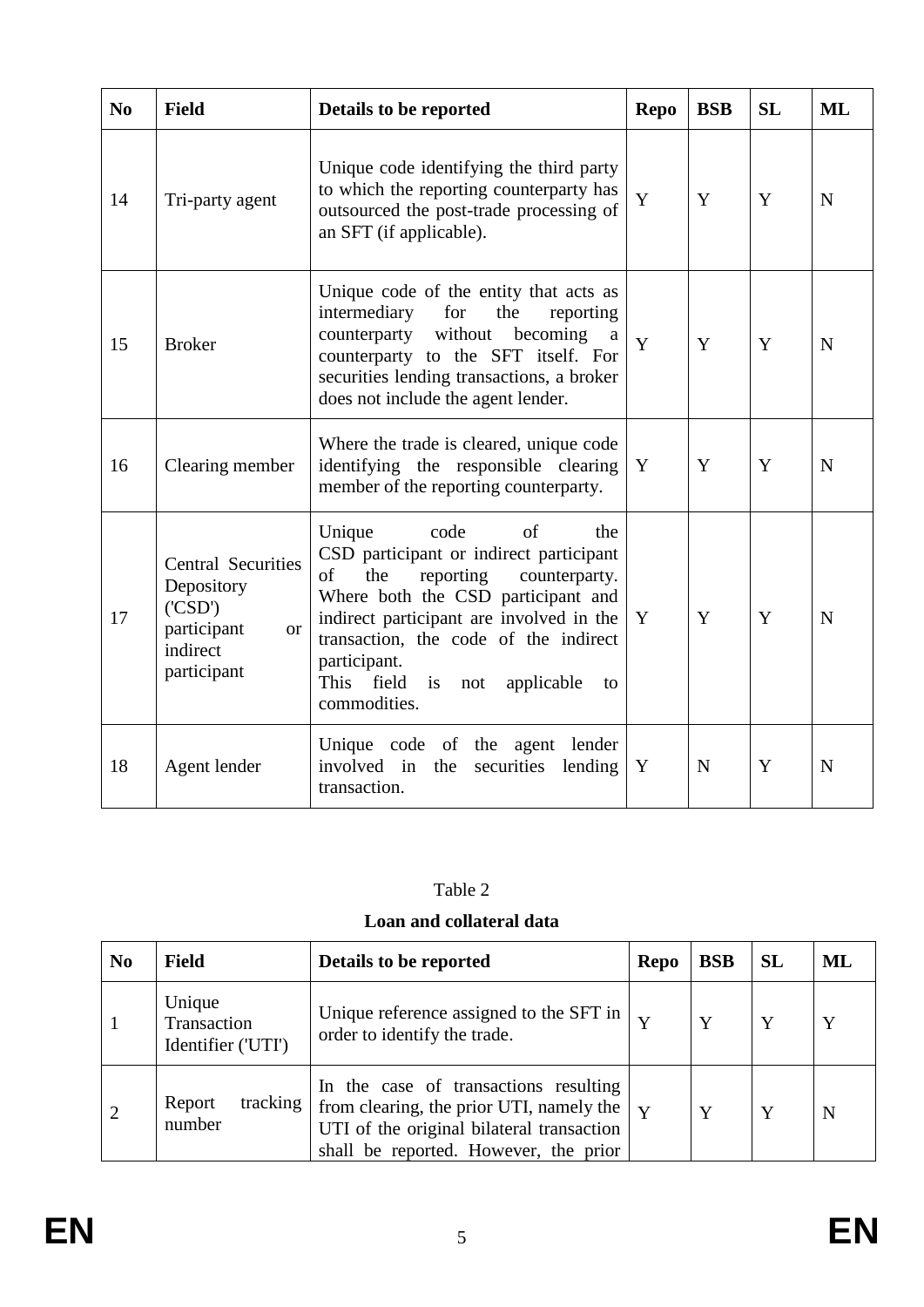| N <sub>0</sub> | <b>Field</b>                                                                                             | Details to be reported                                                                                                                                                                                                                                                                                                      | <b>Repo</b> | <b>BSB</b> | <b>SL</b> | ML          |
|----------------|----------------------------------------------------------------------------------------------------------|-----------------------------------------------------------------------------------------------------------------------------------------------------------------------------------------------------------------------------------------------------------------------------------------------------------------------------|-------------|------------|-----------|-------------|
| 14             | Tri-party agent                                                                                          | Unique code identifying the third party<br>to which the reporting counterparty has<br>outsourced the post-trade processing of<br>an SFT (if applicable).                                                                                                                                                                    | Y           | Y          | Y         | $\mathbf N$ |
| 15             | <b>Broker</b>                                                                                            | Unique code of the entity that acts as<br>intermediary<br>for<br>the<br>reporting<br>counterparty without becoming<br>a<br>counterparty to the SFT itself. For<br>securities lending transactions, a broker<br>does not include the agent lender.                                                                           | Y           | Y          | Y         | $\mathbf N$ |
| 16             | Clearing member                                                                                          | Where the trade is cleared, unique code<br>identifying the responsible clearing<br>member of the reporting counterparty.                                                                                                                                                                                                    | Y           | Y          | Y         | $\mathbf N$ |
| 17             | <b>Central Securities</b><br>Depository<br>(CSD')<br>participant<br><b>or</b><br>indirect<br>participant | Unique<br>code<br>of<br>the<br>CSD participant or indirect participant<br>of<br>the<br>reporting<br>counterparty.<br>Where both the CSD participant and<br>indirect participant are involved in the<br>transaction, the code of the indirect<br>participant.<br>This field<br>is<br>not<br>applicable<br>to<br>commodities. | Y           | Y          | Y         | N           |
| 18             | Agent lender                                                                                             | Unique code of the agent lender<br>involved in the<br>securities<br>lending<br>transaction.                                                                                                                                                                                                                                 | Y           | N          | Y         | N           |

| able |  |  |  |
|------|--|--|--|
|------|--|--|--|

#### **Loan and collateral data**

| N <sub>0</sub> | <b>Field</b>                                | Details to be reported                                                                                                                                                                           | <b>Repo</b> | <b>BSB</b> | <b>SL</b> | ML |
|----------------|---------------------------------------------|--------------------------------------------------------------------------------------------------------------------------------------------------------------------------------------------------|-------------|------------|-----------|----|
|                | Unique<br>Transaction<br>Identifier ('UTI') | Unique reference assigned to the SFT in $\vert \mathbf{v} \vert$<br>order to identify the trade.                                                                                                 |             | Y          | Y         | Y  |
|                | tracking<br>Report<br>number                | In the case of transactions resulting<br>from clearing, the prior UTI, namely the $\vert \mathbf{v} \vert$<br>UTI of the original bilateral transaction<br>shall be reported. However, the prior |             | Y          | Y         | N  |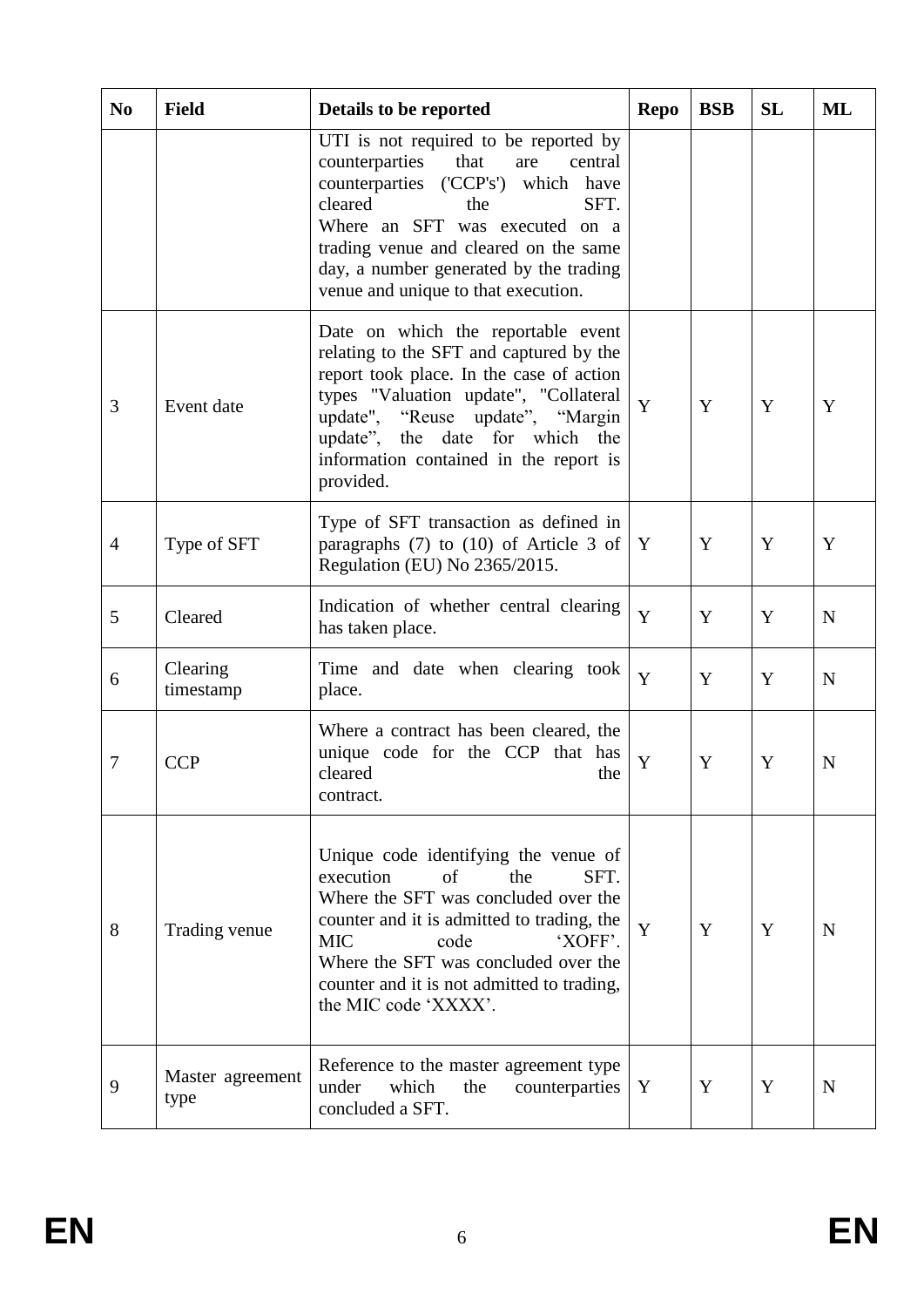| N <sub>0</sub> | <b>Field</b>             | Details to be reported                                                                                                                                                                                                                                                                                         | <b>Repo</b> | <b>BSB</b> | <b>SL</b> | ML |
|----------------|--------------------------|----------------------------------------------------------------------------------------------------------------------------------------------------------------------------------------------------------------------------------------------------------------------------------------------------------------|-------------|------------|-----------|----|
|                |                          | UTI is not required to be reported by<br>counterparties<br>that<br>are<br>central<br>counterparties ('CCP's') which have<br>cleared<br>SFT.<br>the<br>Where an SFT was executed on a<br>trading venue and cleared on the same<br>day, a number generated by the trading<br>venue and unique to that execution. |             |            |           |    |
| 3              | Event date               | Date on which the reportable event<br>relating to the SFT and captured by the<br>report took place. In the case of action<br>types "Valuation update", "Collateral<br>update", "Reuse update", "Margin<br>update", the date<br>for which the<br>information contained in the report is<br>provided.            | Y           | Y          | Y         | Y  |
| $\overline{4}$ | Type of SFT              | Type of SFT transaction as defined in<br>paragraphs $(7)$ to $(10)$ of Article 3 of<br>Regulation (EU) No 2365/2015.                                                                                                                                                                                           | Y           | Y          | Y         | Y  |
| 5              | Cleared                  | Indication of whether central clearing<br>has taken place.                                                                                                                                                                                                                                                     | Y           | Y          | Y         | N  |
| 6              | Clearing<br>timestamp    | Time and date when clearing took<br>place.                                                                                                                                                                                                                                                                     | Y           | Y          | Y         | N  |
| $\overline{7}$ | <b>CCP</b>               | Where a contract has been cleared, the<br>unique code for the CCP that has<br>cleared<br>the<br>contract.                                                                                                                                                                                                      | Y           | Y          | Y         | N  |
| 8              | Trading venue            | Unique code identifying the venue of<br>execution<br>the<br>of<br>SFT.<br>Where the SFT was concluded over the<br>counter and it is admitted to trading, the<br>'XOFF'.<br><b>MIC</b><br>code<br>Where the SFT was concluded over the<br>counter and it is not admitted to trading,<br>the MIC code 'XXXX'.    | Y           | Y          | Y         | N  |
| 9              | Master agreement<br>type | Reference to the master agreement type<br>under<br>which<br>the<br>counterparties<br>concluded a SFT.                                                                                                                                                                                                          | Y           | Y          | Y         | N  |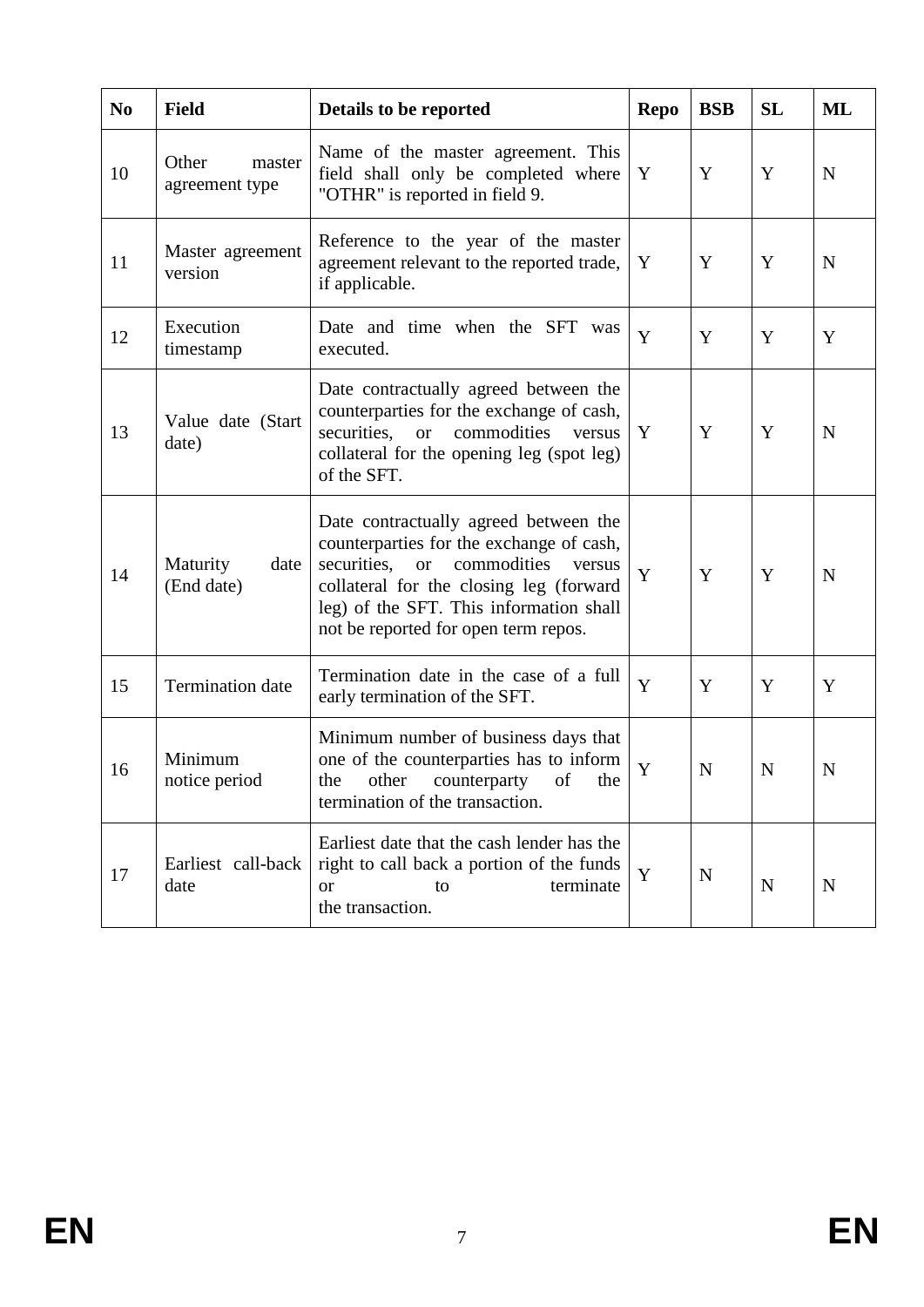| N <sub>0</sub> | <b>Field</b>                      | Details to be reported                                                                                                                                                                                                                                  | <b>Repo</b> | <b>BSB</b>  | SL | ML          |
|----------------|-----------------------------------|---------------------------------------------------------------------------------------------------------------------------------------------------------------------------------------------------------------------------------------------------------|-------------|-------------|----|-------------|
| 10             | Other<br>master<br>agreement type | Name of the master agreement. This<br>field shall only be completed where<br>"OTHR" is reported in field 9.                                                                                                                                             | Y           | Y           | Y  | N           |
| 11             | Master agreement<br>version       | Reference to the year of the master<br>agreement relevant to the reported trade,<br>if applicable.                                                                                                                                                      | Y           | Y           | Y  | N           |
| 12             | Execution<br>timestamp            | Date and time when the SFT was<br>executed.                                                                                                                                                                                                             | Y           | Y           | Y  | Y           |
| 13             | Value date (Start<br>date)        | Date contractually agreed between the<br>counterparties for the exchange of cash,<br>securities, or commodities<br>versus<br>collateral for the opening leg (spot leg)<br>of the SFT.                                                                   | Y           | Y           | Y  | N           |
| 14             | Maturity<br>date<br>(End date)    | Date contractually agreed between the<br>counterparties for the exchange of cash,<br>securities, or commodities<br>versus<br>collateral for the closing leg (forward<br>leg) of the SFT. This information shall<br>not be reported for open term repos. | Y           | Y           | Y  | N           |
| 15             | Termination date                  | Termination date in the case of a full<br>early termination of the SFT.                                                                                                                                                                                 | Y           | Y           | Y  | Y           |
| 16             | Minimum<br>notice period          | Minimum number of business days that<br>one of the counterparties has to inform<br>other counterparty of the<br>the<br>termination of the transaction.                                                                                                  | Y           | $\mathbf N$ | N  | $\mathbf N$ |
| 17             | Earliest call-back<br>date        | Earliest date that the cash lender has the<br>right to call back a portion of the funds<br>terminate<br><sub>or</sub><br>to<br>the transaction.                                                                                                         | Y           | N           | N  | N           |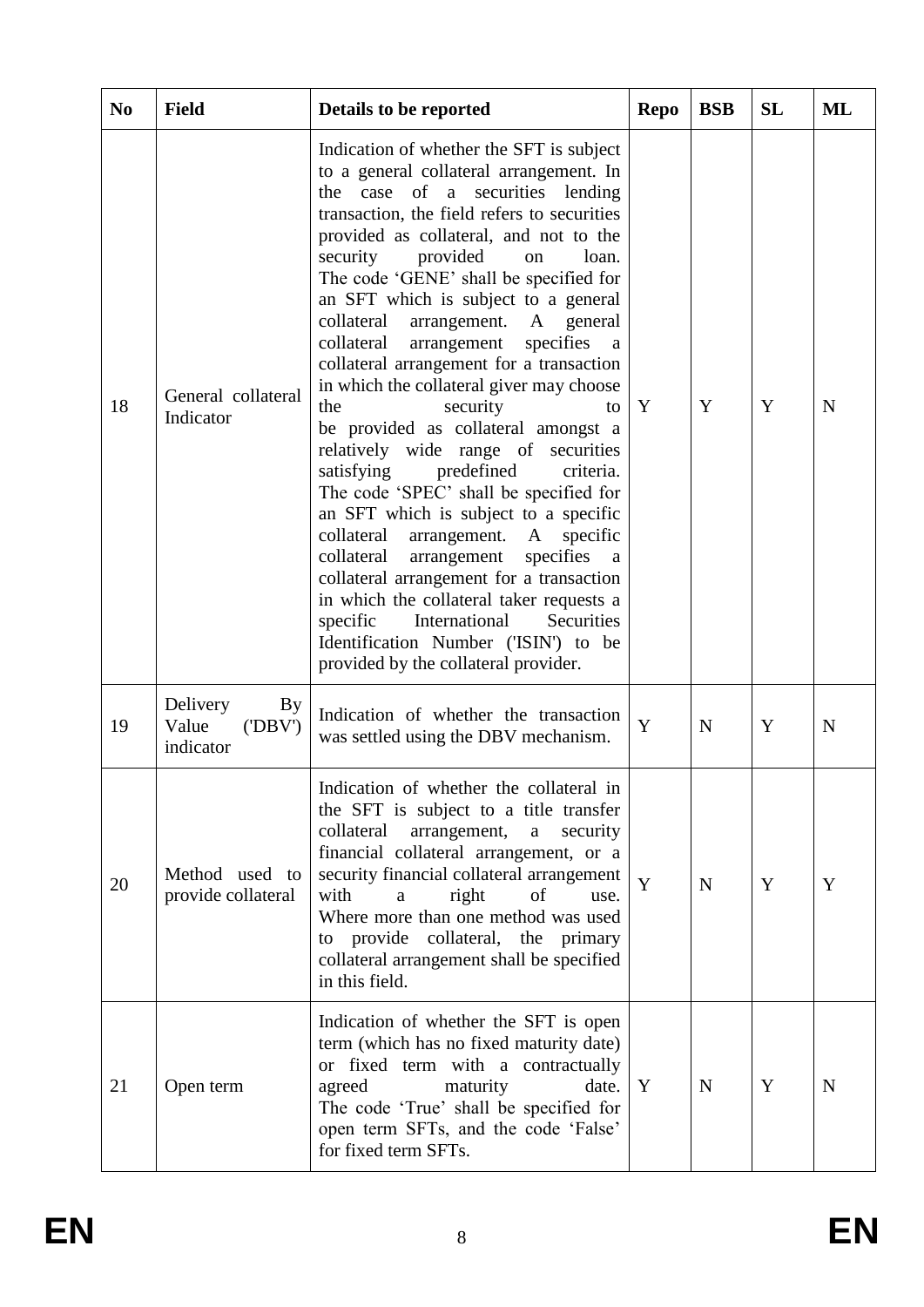| N <sub>0</sub> | <b>Field</b>                                           | Details to be reported                                                                                                                                                                                                                                                                                                                                                                                                                                                                                                                                                                                                                                                                                                                                                                                                                                                                                                                                                                                                                                                    | <b>Repo</b> | <b>BSB</b> | <b>SL</b> | ML          |
|----------------|--------------------------------------------------------|---------------------------------------------------------------------------------------------------------------------------------------------------------------------------------------------------------------------------------------------------------------------------------------------------------------------------------------------------------------------------------------------------------------------------------------------------------------------------------------------------------------------------------------------------------------------------------------------------------------------------------------------------------------------------------------------------------------------------------------------------------------------------------------------------------------------------------------------------------------------------------------------------------------------------------------------------------------------------------------------------------------------------------------------------------------------------|-------------|------------|-----------|-------------|
| 18             | General collateral<br>Indicator                        | Indication of whether the SFT is subject<br>to a general collateral arrangement. In<br>the case of a securities lending<br>transaction, the field refers to securities<br>provided as collateral, and not to the<br>security<br>provided<br>loan.<br>on<br>The code 'GENE' shall be specified for<br>an SFT which is subject to a general<br>collateral<br>arrangement. A general<br>collateral<br>arrangement<br>specifies<br>a<br>collateral arrangement for a transaction<br>in which the collateral giver may choose<br>the<br>security<br>to<br>be provided as collateral amongst a<br>relatively wide range of securities<br>satisfying<br>predefined<br>criteria.<br>The code 'SPEC' shall be specified for<br>an SFT which is subject to a specific<br>collateral<br>arrangement. A<br>specific<br>specifies<br>collateral<br>arrangement<br>a<br>collateral arrangement for a transaction<br>in which the collateral taker requests a<br>International<br>Securities<br>specific<br>Identification Number ('ISIN') to be<br>provided by the collateral provider. | Y           | Y          | Y         | $\mathbf N$ |
| 19             | Delivery<br><b>By</b><br>Value<br>('DBV')<br>indicator | Indication of whether the transaction<br>was settled using the DBV mechanism.                                                                                                                                                                                                                                                                                                                                                                                                                                                                                                                                                                                                                                                                                                                                                                                                                                                                                                                                                                                             | Y           | N          | Y         | N           |
| 20             | Method used to<br>provide collateral                   | Indication of whether the collateral in<br>the SFT is subject to a title transfer<br>collateral<br>security<br>arrangement,<br>$\mathbf{a}$<br>financial collateral arrangement, or a<br>security financial collateral arrangement<br>with<br>right<br>of<br>a<br>use.<br>Where more than one method was used<br>to provide collateral, the primary<br>collateral arrangement shall be specified<br>in this field.                                                                                                                                                                                                                                                                                                                                                                                                                                                                                                                                                                                                                                                        | Y           | N          | Y         | Y           |
| 21             | Open term                                              | Indication of whether the SFT is open<br>term (which has no fixed maturity date)<br>or fixed term with a contractually<br>agreed<br>maturity<br>date.<br>The code 'True' shall be specified for<br>open term SFTs, and the code 'False'<br>for fixed term SFTs.                                                                                                                                                                                                                                                                                                                                                                                                                                                                                                                                                                                                                                                                                                                                                                                                           | Y           | N          | Y         | N           |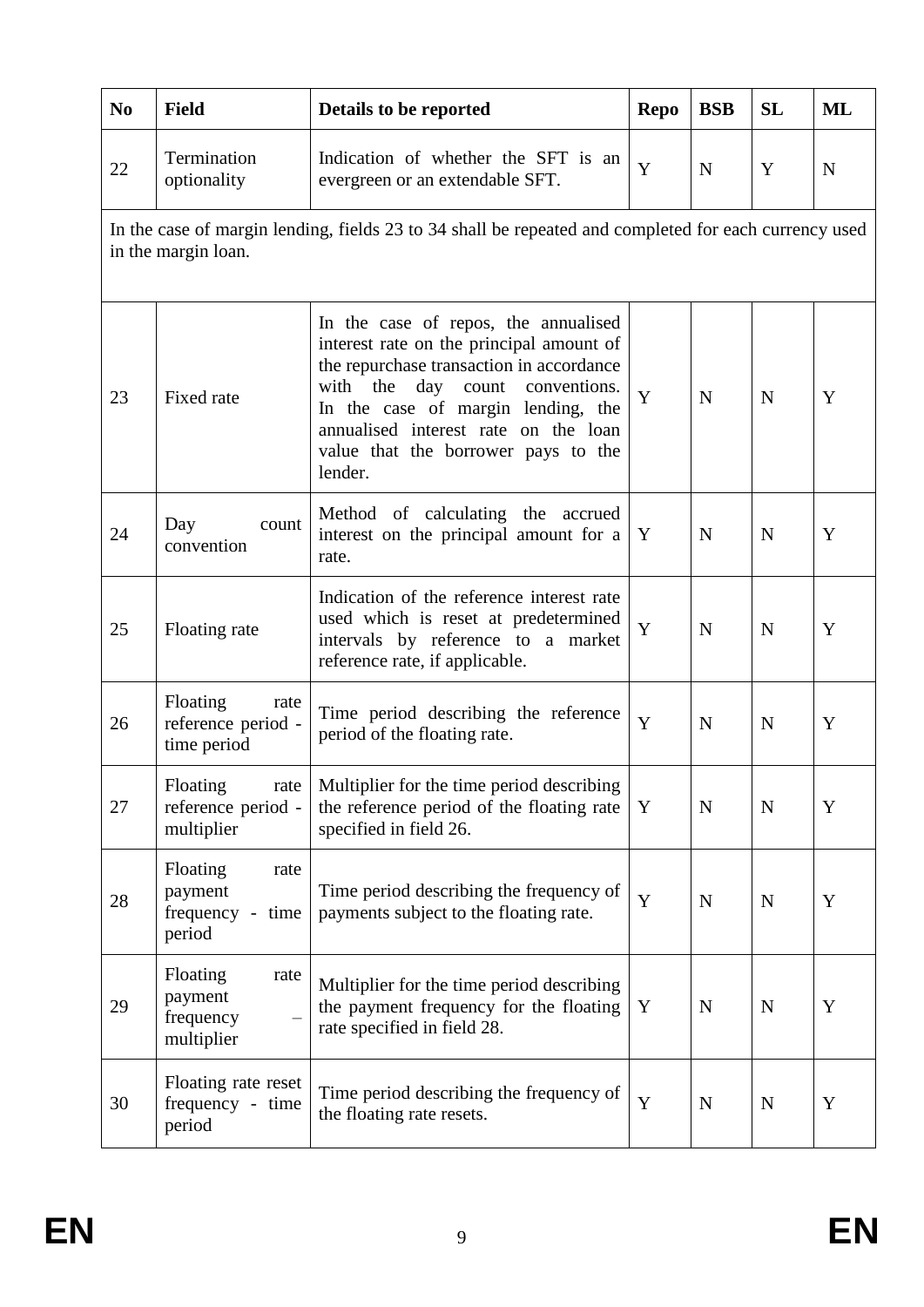| N <sub>0</sub> | <b>Field</b>                                                                                                                 | Details to be reported                                                                                                                                                                                                                                                                             | <b>Repo</b> | <b>BSB</b>  | <b>SL</b>   | ML          |  |  |  |
|----------------|------------------------------------------------------------------------------------------------------------------------------|----------------------------------------------------------------------------------------------------------------------------------------------------------------------------------------------------------------------------------------------------------------------------------------------------|-------------|-------------|-------------|-------------|--|--|--|
| 22             | Termination<br>optionality                                                                                                   | Indication of whether the SFT is an<br>evergreen or an extendable SFT.                                                                                                                                                                                                                             | Y           | $\mathbf N$ | Y           | $\mathbf N$ |  |  |  |
|                | In the case of margin lending, fields 23 to 34 shall be repeated and completed for each currency used<br>in the margin loan. |                                                                                                                                                                                                                                                                                                    |             |             |             |             |  |  |  |
| 23             | Fixed rate                                                                                                                   | In the case of repos, the annualised<br>interest rate on the principal amount of<br>the repurchase transaction in accordance<br>with the<br>day count conventions.<br>In the case of margin lending, the<br>annualised interest rate on the loan<br>value that the borrower pays to the<br>lender. | Y           | $\mathbf N$ | $\mathbf N$ | Y           |  |  |  |
| 24             | Day<br>count<br>convention                                                                                                   | Method of calculating the accrued<br>interest on the principal amount for a<br>rate.                                                                                                                                                                                                               | Y           | $\mathbf N$ | $\mathbf N$ | Y           |  |  |  |
| 25             | Floating rate                                                                                                                | Indication of the reference interest rate<br>used which is reset at predetermined<br>intervals by reference to a market<br>reference rate, if applicable.                                                                                                                                          | Y           | $\mathbf N$ | $\mathbf N$ | Y           |  |  |  |
| 26             | Floating<br>rate<br>reference period -<br>time period                                                                        | Time period describing the reference<br>period of the floating rate.                                                                                                                                                                                                                               | Y           | $\mathbf N$ | $\mathbf N$ | Y           |  |  |  |
| 27             | Floating<br>rate<br>reference period -<br>multiplier                                                                         | Multiplier for the time period describing<br>the reference period of the floating rate<br>specified in field 26.                                                                                                                                                                                   | Y           | $\mathbf N$ | $\mathbf N$ | $\mathbf Y$ |  |  |  |
| 28             | Floating<br>rate<br>payment<br>frequency -<br>time<br>period                                                                 | Time period describing the frequency of<br>payments subject to the floating rate.                                                                                                                                                                                                                  | Y           | $\mathbf N$ | $\mathbf N$ | $\mathbf Y$ |  |  |  |
| 29             | Floating<br>rate<br>payment<br>frequency<br>multiplier                                                                       | Multiplier for the time period describing<br>the payment frequency for the floating<br>rate specified in field 28.                                                                                                                                                                                 | Y           | N           | $\mathbf N$ | Y           |  |  |  |
| 30             | Floating rate reset<br>frequency - time<br>period                                                                            | Time period describing the frequency of<br>the floating rate resets.                                                                                                                                                                                                                               | $\mathbf Y$ | $\mathbf N$ | $\mathbf N$ | Y           |  |  |  |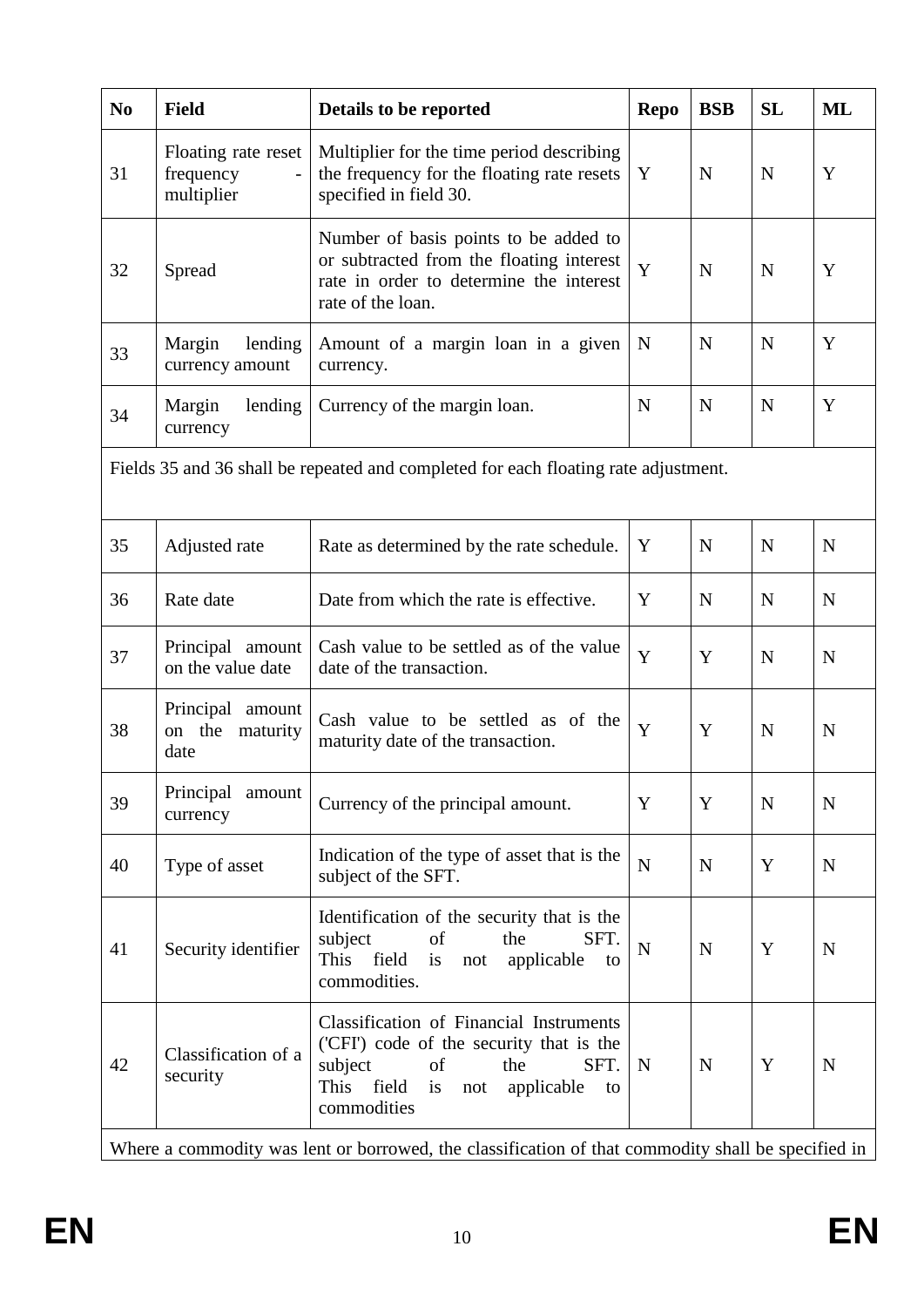| <b>Field</b>                                   | Details to be reported                                                                                                                                                                      | <b>Repo</b> | <b>BSB</b>  | <b>SL</b>                                                                           | <b>ML</b>   |
|------------------------------------------------|---------------------------------------------------------------------------------------------------------------------------------------------------------------------------------------------|-------------|-------------|-------------------------------------------------------------------------------------|-------------|
| Floating rate reset<br>frequency<br>multiplier | Multiplier for the time period describing<br>the frequency for the floating rate resets<br>specified in field 30.                                                                           | Y           | $\mathbf N$ | N                                                                                   | Y           |
| Spread                                         | Number of basis points to be added to<br>or subtracted from the floating interest<br>rate in order to determine the interest<br>rate of the loan.                                           | Y           | N           | N                                                                                   | Y           |
| Margin<br>lending<br>currency amount           | Amount of a margin loan in a given<br>currency.                                                                                                                                             | N           | N           | N                                                                                   | Y           |
| Margin<br>lending<br>currency                  | Currency of the margin loan.                                                                                                                                                                | N           | $\mathbf N$ | N                                                                                   | Y           |
|                                                |                                                                                                                                                                                             |             |             |                                                                                     |             |
| Adjusted rate                                  | Rate as determined by the rate schedule.                                                                                                                                                    | Y           | $\mathbf N$ | N                                                                                   | $\mathbf N$ |
| Rate date                                      | Date from which the rate is effective.                                                                                                                                                      | Y           | $\mathbf N$ | N                                                                                   | $\mathbf N$ |
| Principal amount<br>on the value date          | Cash value to be settled as of the value<br>date of the transaction.                                                                                                                        | Y           | Y           | N                                                                                   | $\mathbf N$ |
| Principal amount<br>on the<br>maturity<br>date | Cash value to be settled as of the<br>maturity date of the transaction.                                                                                                                     | Y           | Y           | N                                                                                   | $\mathbf N$ |
| Principal<br>amount<br>currency                | Currency of the principal amount.                                                                                                                                                           | Y           | Y           | N                                                                                   | $\mathbf N$ |
| Type of asset                                  | Indication of the type of asset that is the<br>subject of the SFT.                                                                                                                          | ${\bf N}$   | N           | Y                                                                                   | $\mathbf N$ |
| Security identifier                            | Identification of the security that is the<br>subject<br>the<br>SFT.<br>of<br>This field<br>applicable<br>is<br>not<br>to<br>commodities.                                                   | $\mathbf N$ | N           | Y                                                                                   | $\mathbf N$ |
| Classification of a<br>security                | <b>Classification of Financial Instruments</b><br>('CFI') code of the security that is the<br>subject<br>of<br>the<br>SFT.<br>field<br>This<br>is<br>applicable<br>not<br>to<br>commodities | N           | $\mathbf N$ | Y                                                                                   | N           |
|                                                |                                                                                                                                                                                             |             |             | Fields 35 and 36 shall be repeated and completed for each floating rate adjustment. |             |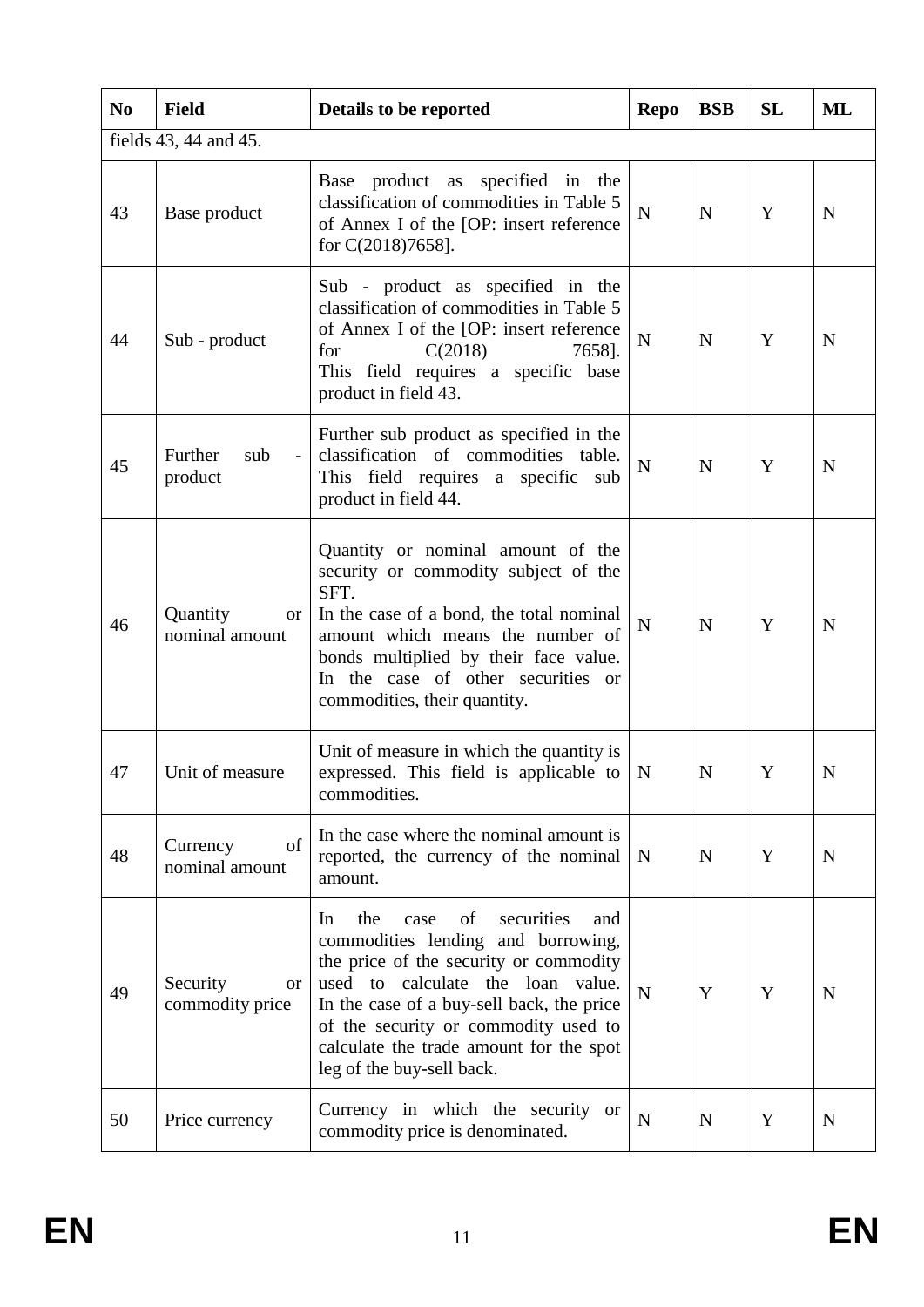| N <sub>0</sub> | <b>Field</b>                            | Details to be reported                                                                                                                                                                                                                                                                                                         | <b>Repo</b> | <b>BSB</b>  | <b>SL</b> | ML |
|----------------|-----------------------------------------|--------------------------------------------------------------------------------------------------------------------------------------------------------------------------------------------------------------------------------------------------------------------------------------------------------------------------------|-------------|-------------|-----------|----|
|                | fields 43, 44 and 45.                   |                                                                                                                                                                                                                                                                                                                                |             |             |           |    |
| 43             | Base product                            | Base product as specified in the<br>classification of commodities in Table 5<br>of Annex I of the [OP: insert reference<br>for C(2018)7658].                                                                                                                                                                                   | $\mathbf N$ | $\mathbf N$ | Y         | N  |
| 44             | Sub - product                           | Sub - product as specified in the<br>classification of commodities in Table 5<br>of Annex I of the [OP: insert reference<br>for<br>C(2018)<br>7658].<br>This field requires a specific base<br>product in field 43.                                                                                                            | ${\bf N}$   | $\mathbf N$ | Y         | N  |
| 45             | Further<br>sub<br>product               | Further sub product as specified in the<br>classification of commodities table.<br>This field requires a specific sub<br>product in field 44.                                                                                                                                                                                  | $\mathbf N$ | N           | Y         | N  |
| 46             | Quantity<br><b>or</b><br>nominal amount | Quantity or nominal amount of the<br>security or commodity subject of the<br>SFT.<br>In the case of a bond, the total nominal<br>amount which means the number of<br>bonds multiplied by their face value.<br>In the case of other securities or<br>commodities, their quantity.                                               | N           | $\mathbf N$ | Y         | N  |
| 47             | Unit of measure                         | Unit of measure in which the quantity is<br>expressed. This field is applicable to  <br>commodities.                                                                                                                                                                                                                           | $\mathbf N$ | $\mathbf N$ | Y         | N  |
| 48             | of<br>Currency<br>nominal amount        | In the case where the nominal amount is<br>reported, the currency of the nominal<br>amount.                                                                                                                                                                                                                                    | $\mathbf N$ | $\mathbf N$ | Y         | N  |
| 49             | Security<br>or<br>commodity price       | securities<br>the<br>of<br>In<br>case<br>and<br>commodities lending and borrowing,<br>the price of the security or commodity<br>used to calculate the loan value.<br>In the case of a buy-sell back, the price<br>of the security or commodity used to<br>calculate the trade amount for the spot<br>leg of the buy-sell back. | $\mathbf N$ | Y           | Y         | N  |
| 50             | Price currency                          | Currency in which the security or<br>commodity price is denominated.                                                                                                                                                                                                                                                           | ${\bf N}$   | $\mathbf N$ | Y         | N  |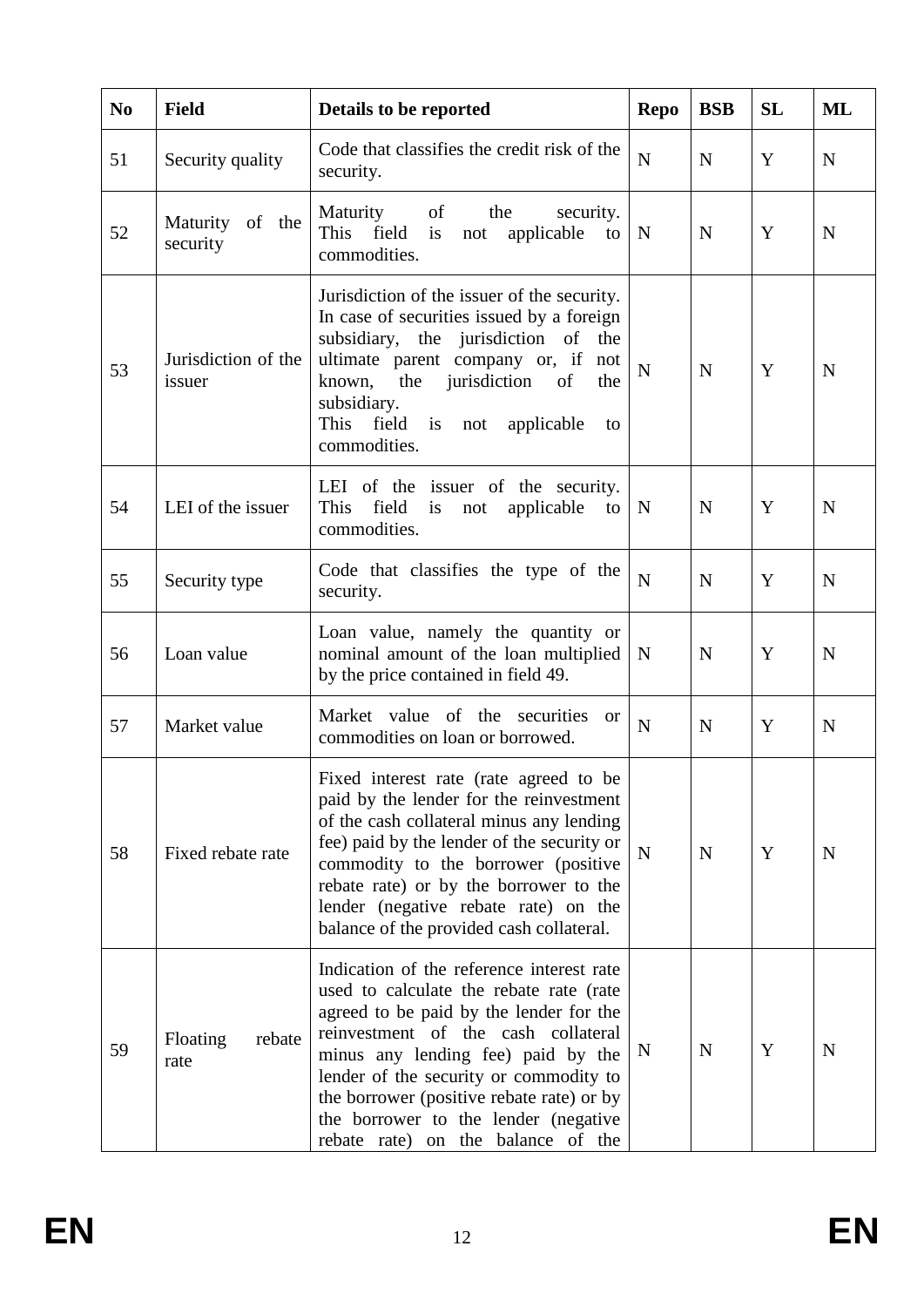| N <sub>0</sub> | <b>Field</b>                  | Details to be reported                                                                                                                                                                                                                                                                                                                                                             | <b>Repo</b>    | <b>BSB</b>  | <b>SL</b> | ML          |
|----------------|-------------------------------|------------------------------------------------------------------------------------------------------------------------------------------------------------------------------------------------------------------------------------------------------------------------------------------------------------------------------------------------------------------------------------|----------------|-------------|-----------|-------------|
| 51             | Security quality              | Code that classifies the credit risk of the<br>security.                                                                                                                                                                                                                                                                                                                           | $\mathbf N$    | N           | Y         | N           |
| 52             | Maturity of the<br>security   | Maturity<br>of<br>the<br>security.<br>This field<br>applicable<br>is<br>not<br>to<br>commodities.                                                                                                                                                                                                                                                                                  | N              | $\mathbf N$ | Y         | N           |
| 53             | Jurisdiction of the<br>issuer | Jurisdiction of the issuer of the security.<br>In case of securities issued by a foreign<br>subsidiary, the jurisdiction of the<br>ultimate parent company or, if not<br>the jurisdiction<br>known,<br>of<br>the<br>subsidiary.<br>This field is<br>not applicable<br>to<br>commodities.                                                                                           | $\overline{N}$ | $\mathbf N$ | Y         | N           |
| 54             | LEI of the issuer             | LEI of the issuer of the security.<br>This<br>field is not applicable<br>to<br>commodities.                                                                                                                                                                                                                                                                                        | $\mathbf N$    | $\mathbf N$ | Y         | $\mathbf N$ |
| 55             | Security type                 | Code that classifies the type of the<br>security.                                                                                                                                                                                                                                                                                                                                  | $\mathbf N$    | $\mathbf N$ | Y         | N           |
| 56             | Loan value                    | Loan value, namely the quantity or<br>nominal amount of the loan multiplied<br>by the price contained in field 49.                                                                                                                                                                                                                                                                 | $\mathbf N$    | N           | Y         | N           |
| 57             | Market value                  | Market value of<br>the securities<br><sub>or</sub><br>commodities on loan or borrowed.                                                                                                                                                                                                                                                                                             | $\mathbf N$    | $\mathbf N$ | Y         | N           |
| 58             | Fixed rebate rate             | Fixed interest rate (rate agreed to be<br>paid by the lender for the reinvestment<br>of the cash collateral minus any lending<br>fee) paid by the lender of the security or<br>commodity to the borrower (positive<br>rebate rate) or by the borrower to the<br>lender (negative rebate rate) on the<br>balance of the provided cash collateral.                                   | $\mathbf N$    | $\mathbf N$ | Y         | N           |
| 59             | Floating<br>rebate<br>rate    | Indication of the reference interest rate<br>used to calculate the rebate rate (rate<br>agreed to be paid by the lender for the<br>reinvestment of the cash collateral<br>minus any lending fee) paid by the<br>lender of the security or commodity to<br>the borrower (positive rebate rate) or by<br>the borrower to the lender (negative)<br>rebate rate) on the balance of the | N              | $\mathbf N$ | Y         | N           |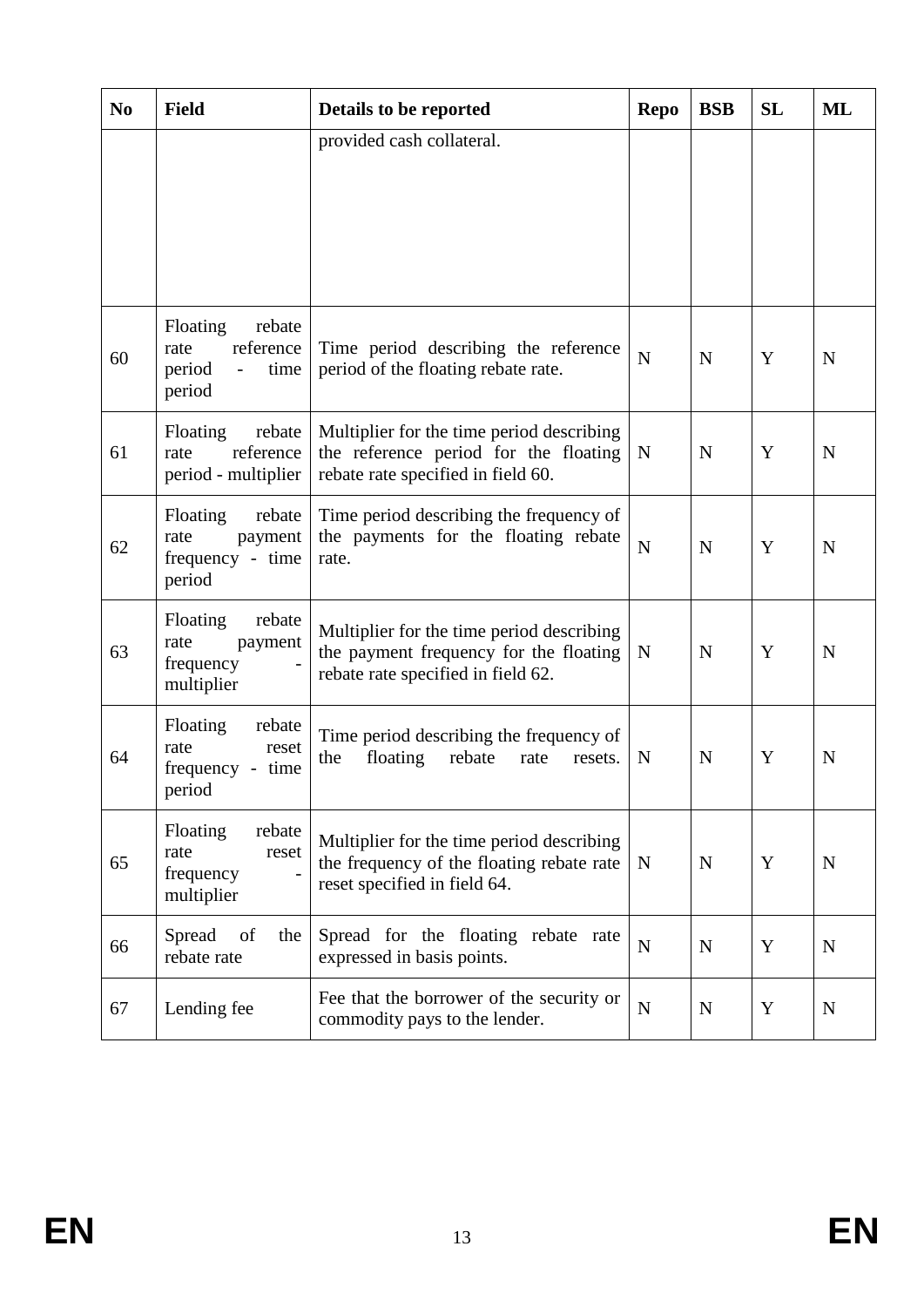| N <sub>0</sub> | <b>Field</b>                                                                          | Details to be reported                                                                                                    | <b>Repo</b> | <b>BSB</b> | <b>SL</b> | ML          |
|----------------|---------------------------------------------------------------------------------------|---------------------------------------------------------------------------------------------------------------------------|-------------|------------|-----------|-------------|
|                |                                                                                       | provided cash collateral.                                                                                                 |             |            |           |             |
|                |                                                                                       |                                                                                                                           |             |            |           |             |
|                |                                                                                       |                                                                                                                           |             |            |           |             |
|                |                                                                                       |                                                                                                                           |             |            |           |             |
| 60             | Floating<br>rebate<br>reference<br>rate<br>period<br>time<br>$\overline{a}$<br>period | Time period describing the reference<br>period of the floating rebate rate.                                               | $\mathbf N$ | N          | Y         | N           |
| 61             | Floating<br>rebate<br>reference<br>rate<br>period - multiplier                        | Multiplier for the time period describing<br>the reference period for the floating<br>rebate rate specified in field 60.  | N           | N          | Y         | $\mathbf N$ |
| 62             | Floating<br>rebate<br>rate<br>payment<br>frequency - time<br>period                   | Time period describing the frequency of<br>the payments for the floating rebate<br>rate.                                  | $\mathbf N$ | N          | Y         | N           |
| 63             | Floating<br>rebate<br>rate<br>payment<br>frequency<br>multiplier                      | Multiplier for the time period describing<br>the payment frequency for the floating<br>rebate rate specified in field 62. | N           | N          | Y         | N           |
| 64             | Floating<br>rebate<br>rate<br>reset<br>frequency - time<br>period                     | Time period describing the frequency of<br>the<br>floating<br>rebate<br>rate<br>resets.                                   | N           | N          | Y         | N           |
| 65             | rebate<br>Floating<br>rate<br>reset<br>frequency<br>multiplier                        | Multiplier for the time period describing<br>the frequency of the floating rebate rate<br>reset specified in field 64.    | N           | N          | Y         | N           |
| 66             | Spread<br>of<br>the<br>rebate rate                                                    | Spread for the floating rebate rate<br>expressed in basis points.                                                         | $\mathbf N$ | N          | Y         | N           |
| 67             | Lending fee                                                                           | Fee that the borrower of the security or<br>commodity pays to the lender.                                                 | $\mathbf N$ | N          | Y         | N           |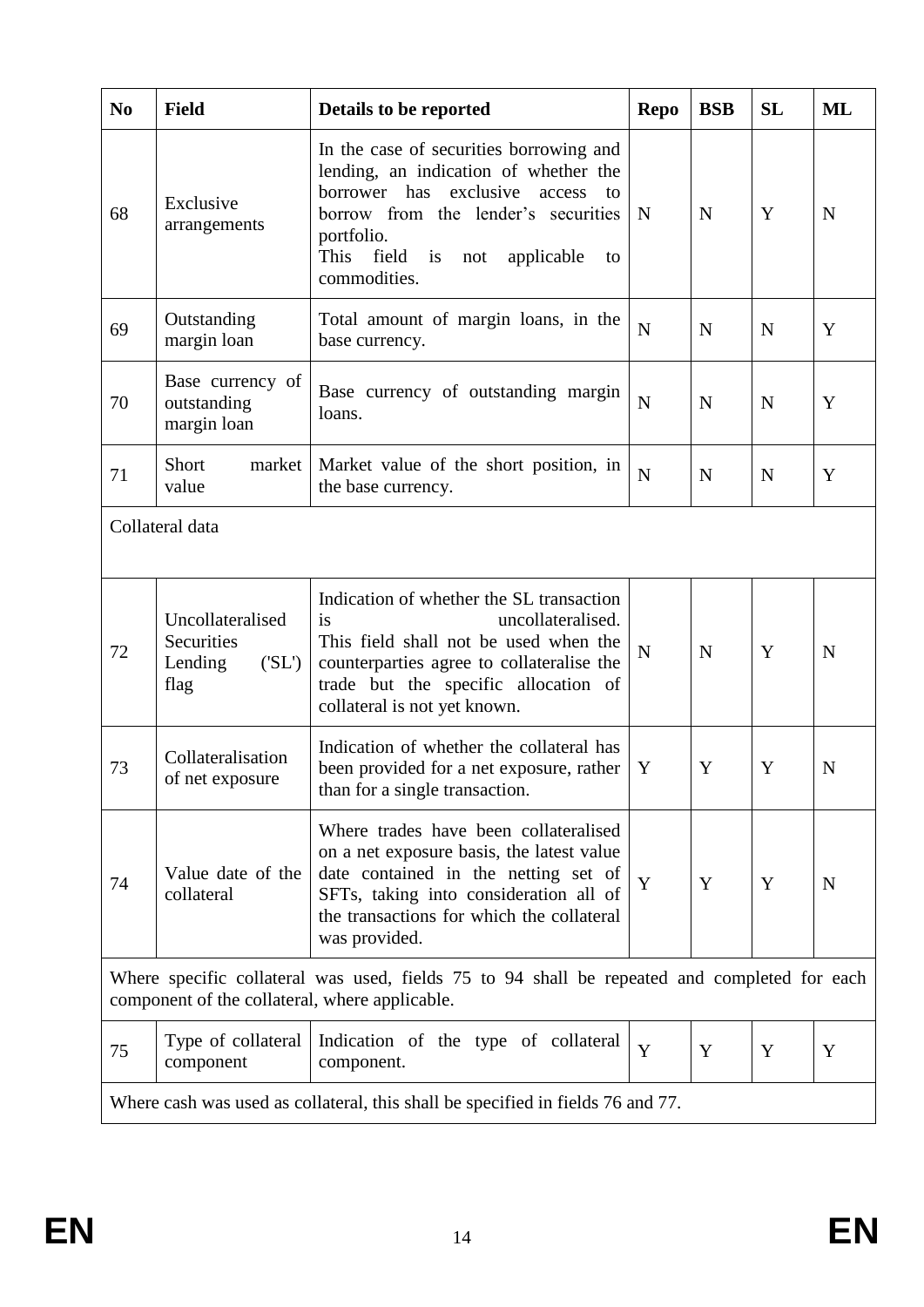| N <sub>0</sub> | <b>Field</b>                                              | Details to be reported                                                                                                                                                                                                                         | <b>Repo</b> | <b>BSB</b>  | <b>SL</b>   | ML          |  |
|----------------|-----------------------------------------------------------|------------------------------------------------------------------------------------------------------------------------------------------------------------------------------------------------------------------------------------------------|-------------|-------------|-------------|-------------|--|
| 68             | Exclusive<br>arrangements                                 | In the case of securities borrowing and<br>lending, an indication of whether the<br>borrower has exclusive<br>access<br>to<br>borrow from the lender's securities<br>portfolio.<br>This<br>field<br>is<br>not applicable<br>to<br>commodities. | N           | N           | Y           | N           |  |
| 69             | Outstanding<br>margin loan                                | Total amount of margin loans, in the<br>base currency.                                                                                                                                                                                         | $\mathbf N$ | $\mathbf N$ | $\mathbf N$ | Y           |  |
| 70             | Base currency of<br>outstanding<br>margin loan            | Base currency of outstanding margin<br>loans.                                                                                                                                                                                                  | $\mathbf N$ | N           | $\mathbf N$ | Y           |  |
| 71             | Short<br>market<br>value                                  | Market value of the short position, in<br>the base currency.                                                                                                                                                                                   | $\mathbf N$ | $\mathbf N$ | $\mathbf N$ | Y           |  |
|                | Collateral data                                           |                                                                                                                                                                                                                                                |             |             |             |             |  |
| 72             | Uncollateralised<br>Securities<br>Lending<br>(SL)<br>flag | Indication of whether the SL transaction<br>is<br>uncollateralised.<br>This field shall not be used when the<br>counterparties agree to collateralise the<br>trade but the specific allocation of<br>collateral is not yet known.              | $\mathbf N$ | $\mathbf N$ | Y           | N           |  |
| 73             | Collateralisation<br>of net exposure                      | Indication of whether the collateral has<br>been provided for a net exposure, rather<br>than for a single transaction.                                                                                                                         | Y           | Y           | Y           | $\mathbf N$ |  |
| 74             | Value date of the<br>collateral                           | Where trades have been collateralised<br>on a net exposure basis, the latest value<br>date contained in the netting set of<br>SFTs, taking into consideration all of<br>the transactions for which the collateral<br>was provided.             | $\mathbf Y$ | Y           | Y           | N           |  |
|                | component of the collateral, where applicable.            | Where specific collateral was used, fields 75 to 94 shall be repeated and completed for each                                                                                                                                                   |             |             |             |             |  |
| 75             | Type of collateral<br>component                           | Indication of the type of collateral<br>component.                                                                                                                                                                                             | Y           | Y           | Y           | Y           |  |
|                |                                                           | Where cash was used as collateral, this shall be specified in fields 76 and 77.                                                                                                                                                                |             |             |             |             |  |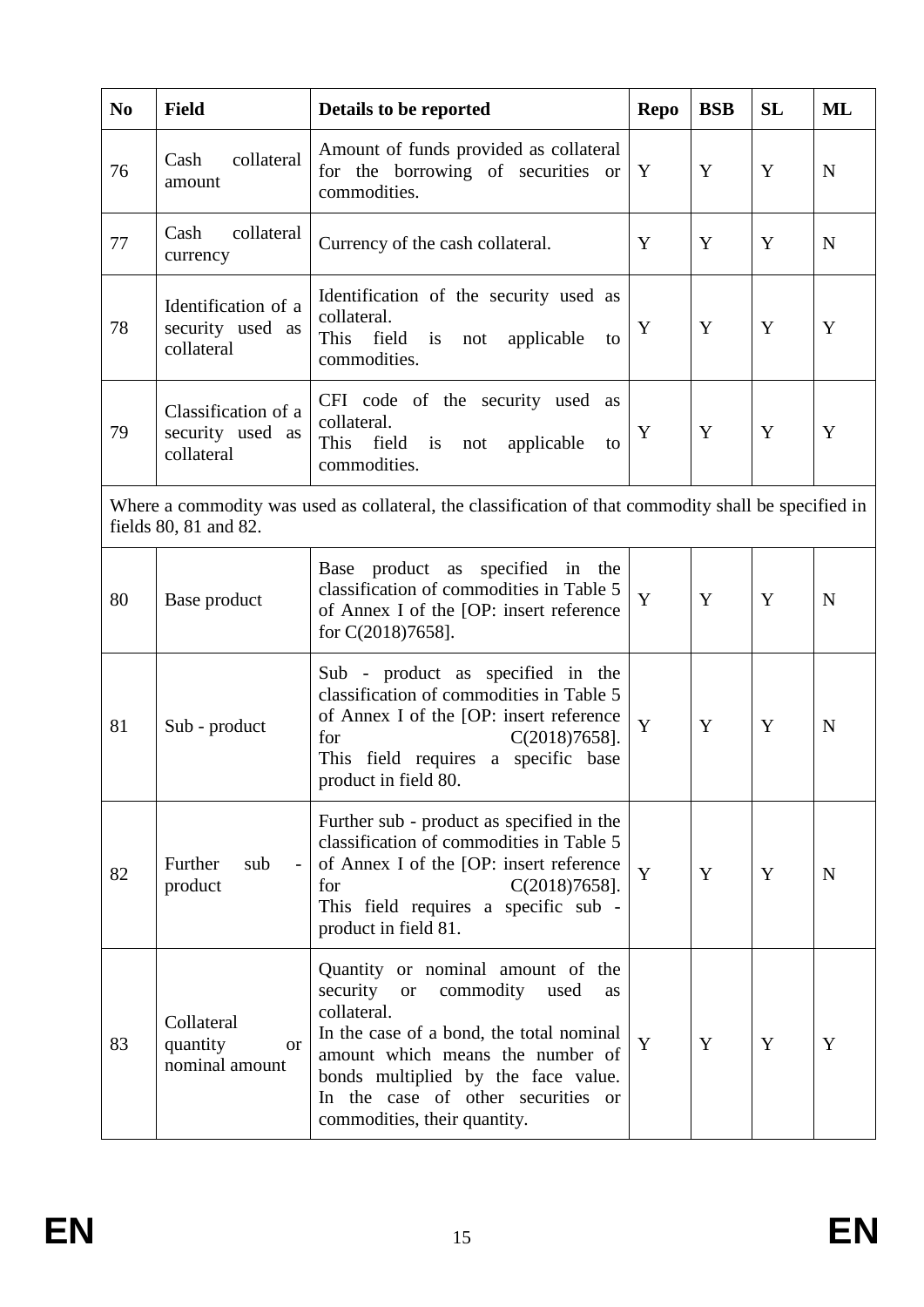| N <sub>0</sub> | <b>Field</b>                                          | Details to be reported                                                                                                                                                                                                                                                                            | <b>Repo</b> | <b>BSB</b> | <b>SL</b> | ML          |
|----------------|-------------------------------------------------------|---------------------------------------------------------------------------------------------------------------------------------------------------------------------------------------------------------------------------------------------------------------------------------------------------|-------------|------------|-----------|-------------|
| 76             | collateral<br>Cash<br>amount                          | Amount of funds provided as collateral<br>for the borrowing of securities or<br>commodities.                                                                                                                                                                                                      | Y           | Y          | Y         | $\mathbf N$ |
| 77             | collateral<br>Cash<br>currency                        | Currency of the cash collateral.                                                                                                                                                                                                                                                                  | Y           | Y          | Y         | $\mathbf N$ |
| 78             | Identification of a<br>security used as<br>collateral | Identification of the security used as<br>collateral.<br>This<br>field<br>is<br>not<br>applicable<br>to<br>commodities.                                                                                                                                                                           | Y           | Y          | Y         | Y           |
| 79             | Classification of a<br>security used as<br>collateral | CFI code of the security used<br>as<br>collateral.<br>This field<br>$\mathbf{i}$ s<br>applicable<br>not<br>to<br>commodities.                                                                                                                                                                     | Y           | Y          | Y         | Y           |
|                | fields 80, 81 and 82.                                 | Where a commodity was used as collateral, the classification of that commodity shall be specified in                                                                                                                                                                                              |             |            |           |             |
| 80             | Base product                                          | Base product as specified in the<br>classification of commodities in Table 5<br>of Annex I of the [OP: insert reference<br>for $C(2018)7658$ ].                                                                                                                                                   | Y           | Y          | Y         | $\mathbf N$ |
| 81             | Sub - product                                         | Sub - product as specified in the<br>classification of commodities in Table 5<br>of Annex I of the [OP: insert reference]<br>for<br>$C(2018)7658$ ].<br>This field requires a specific base<br>product in field 80.                                                                               | Y           | Y          | Y         | N           |
| 82             | Further<br>sub<br>$\overline{\phantom{a}}$<br>product | Further sub - product as specified in the<br>classification of commodities in Table 5<br>of Annex I of the [OP: insert reference]<br>$C(2018)7658$ ].<br>for<br>This field requires a specific sub -<br>product in field 81.                                                                      | Y           | Y          | Y         | N           |
| 83             | Collateral<br>quantity<br><b>or</b><br>nominal amount | Quantity or nominal amount of the<br>security<br>commodity<br>used<br><b>or</b><br>as<br>collateral.<br>In the case of a bond, the total nominal<br>amount which means the number of<br>bonds multiplied by the face value.<br>In the case of other securities or<br>commodities, their quantity. | Y           | Y          | Y         | Y           |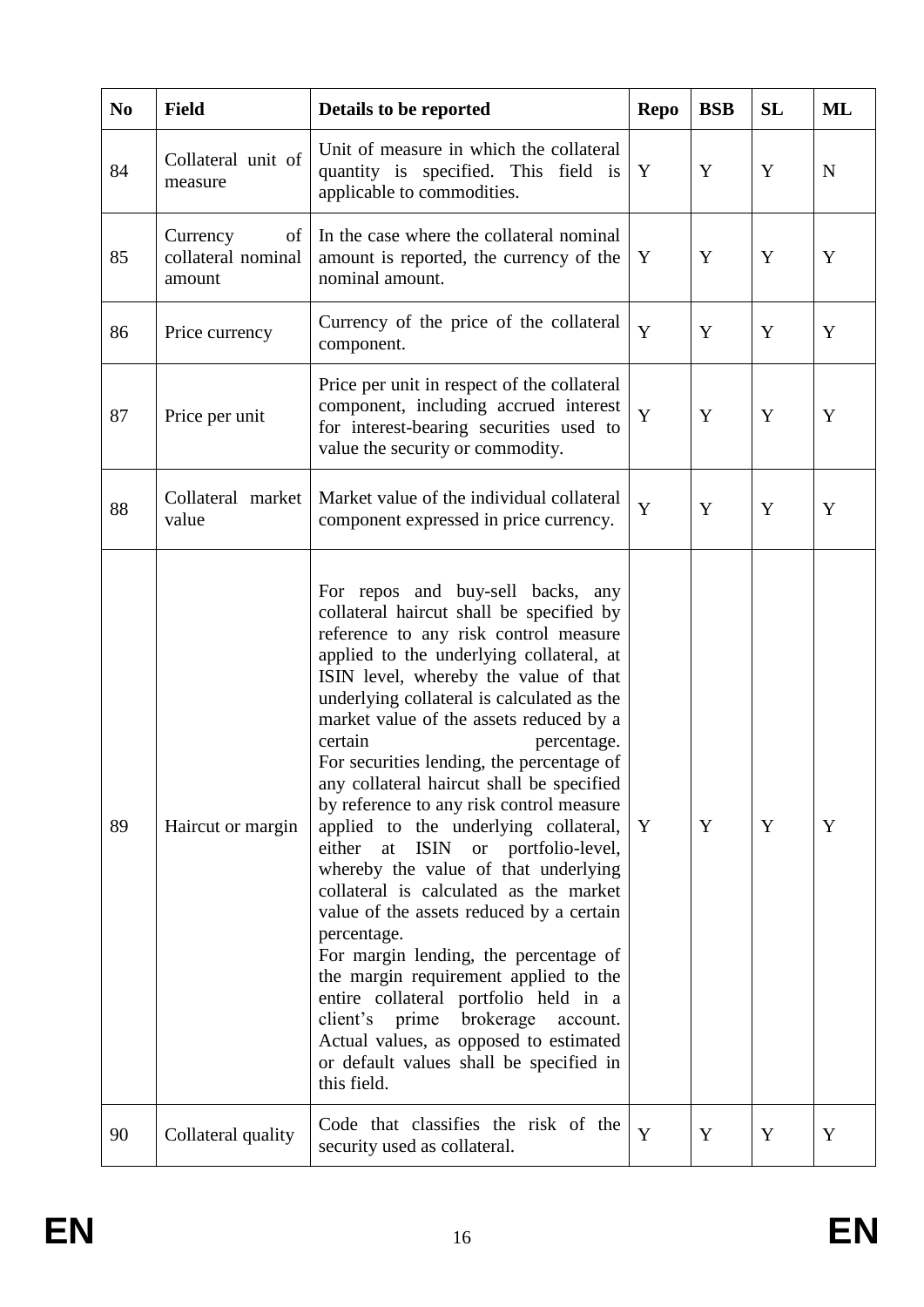| N <sub>0</sub> | <b>Field</b>                                   | Details to be reported                                                                                                                                                                                                                                                                                                                                                                                                                                                                                                                                                                                                                                                                                                                                                                                                                                                                                                                                                     | <b>Repo</b> | <b>BSB</b> | <b>SL</b> | ML |
|----------------|------------------------------------------------|----------------------------------------------------------------------------------------------------------------------------------------------------------------------------------------------------------------------------------------------------------------------------------------------------------------------------------------------------------------------------------------------------------------------------------------------------------------------------------------------------------------------------------------------------------------------------------------------------------------------------------------------------------------------------------------------------------------------------------------------------------------------------------------------------------------------------------------------------------------------------------------------------------------------------------------------------------------------------|-------------|------------|-----------|----|
| 84             | Collateral unit of<br>measure                  | Unit of measure in which the collateral<br>quantity is specified. This field is<br>applicable to commodities.                                                                                                                                                                                                                                                                                                                                                                                                                                                                                                                                                                                                                                                                                                                                                                                                                                                              | Y           | Y          | Y         | N  |
| 85             | Currency<br>of<br>collateral nominal<br>amount | In the case where the collateral nominal<br>amount is reported, the currency of the<br>nominal amount.                                                                                                                                                                                                                                                                                                                                                                                                                                                                                                                                                                                                                                                                                                                                                                                                                                                                     | Y           | Y          | Y         | Y  |
| 86             | Price currency                                 | Currency of the price of the collateral<br>component.                                                                                                                                                                                                                                                                                                                                                                                                                                                                                                                                                                                                                                                                                                                                                                                                                                                                                                                      | Y           | Y          | Y         | Y  |
| 87             | Price per unit                                 | Price per unit in respect of the collateral<br>component, including accrued interest<br>for interest-bearing securities used to<br>value the security or commodity.                                                                                                                                                                                                                                                                                                                                                                                                                                                                                                                                                                                                                                                                                                                                                                                                        | Y           | Y          | Y         | Y  |
| 88             | Collateral market<br>value                     | Market value of the individual collateral<br>component expressed in price currency.                                                                                                                                                                                                                                                                                                                                                                                                                                                                                                                                                                                                                                                                                                                                                                                                                                                                                        | Y           | Y          | Y         | Y  |
| 89             | Haircut or margin                              | For repos and buy-sell backs, any<br>collateral haircut shall be specified by<br>reference to any risk control measure<br>applied to the underlying collateral, at<br>ISIN level, whereby the value of that<br>underlying collateral is calculated as the<br>market value of the assets reduced by a<br>certain<br>percentage.<br>For securities lending, the percentage of<br>any collateral haircut shall be specified<br>by reference to any risk control measure<br>applied to the underlying collateral,<br>either at ISIN<br>or portfolio-level,<br>whereby the value of that underlying<br>collateral is calculated as the market<br>value of the assets reduced by a certain<br>percentage.<br>For margin lending, the percentage of<br>the margin requirement applied to the<br>entire collateral portfolio held in a<br>client's prime brokerage<br>account.<br>Actual values, as opposed to estimated<br>or default values shall be specified in<br>this field. | Y           | Y          | Y         | Y  |
| 90             | Collateral quality                             | Code that classifies the risk of the<br>security used as collateral.                                                                                                                                                                                                                                                                                                                                                                                                                                                                                                                                                                                                                                                                                                                                                                                                                                                                                                       | Y           | Y          | Y         | Y  |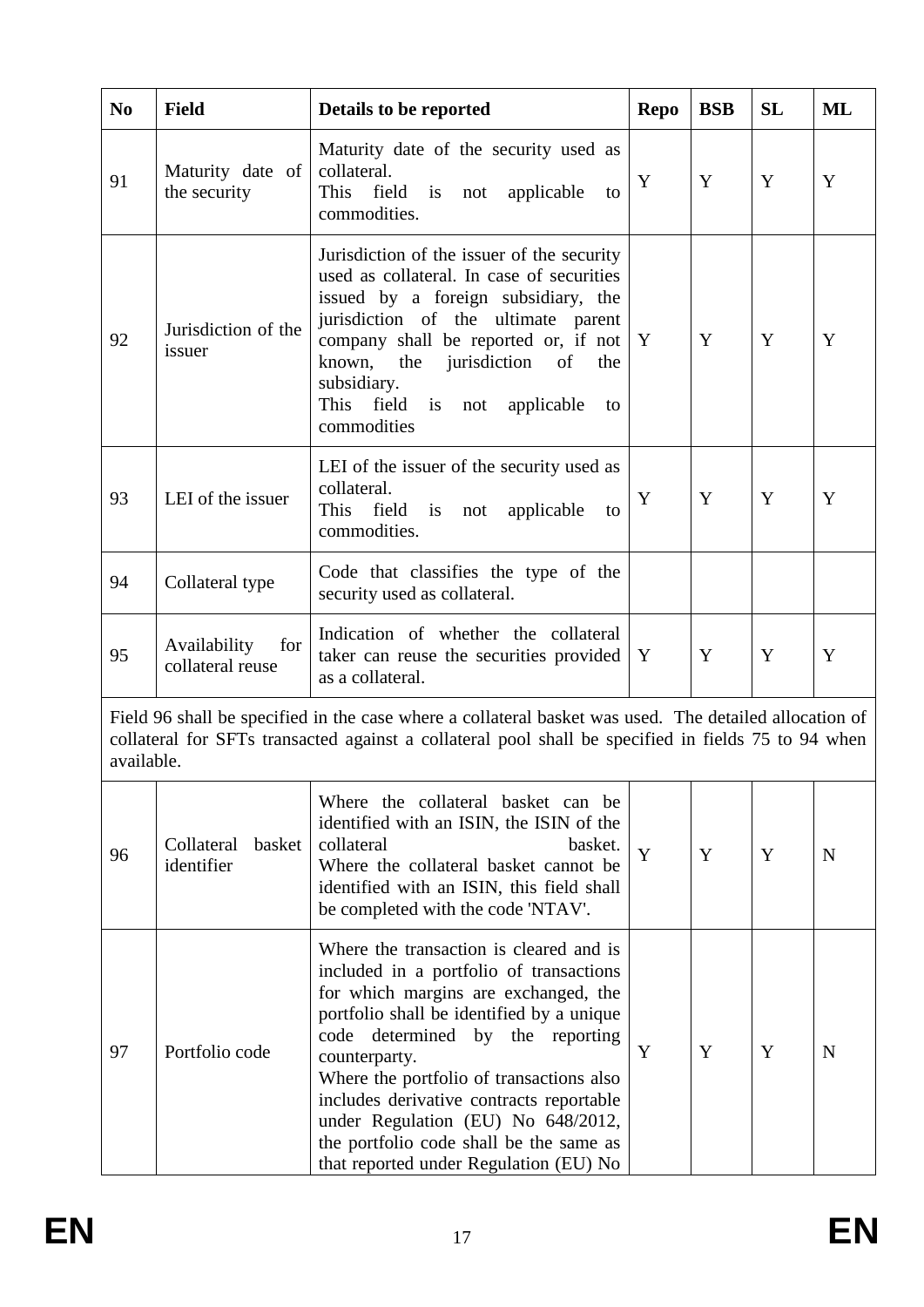| N <sub>0</sub> | <b>Field</b>                            | Details to be reported                                                                                                                                                                                                                                                                                                                                                                                                                          | <b>Repo</b>  | <b>BSB</b> | <b>SL</b> | ML          |
|----------------|-----------------------------------------|-------------------------------------------------------------------------------------------------------------------------------------------------------------------------------------------------------------------------------------------------------------------------------------------------------------------------------------------------------------------------------------------------------------------------------------------------|--------------|------------|-----------|-------------|
| 91             | Maturity date of<br>the security        | Maturity date of the security used as<br>collateral.<br>This field<br>is<br>not<br>applicable<br>to<br>commodities.                                                                                                                                                                                                                                                                                                                             | Y            | Y          | Y         | Y           |
| 92             | Jurisdiction of the<br>issuer           | Jurisdiction of the issuer of the security<br>used as collateral. In case of securities<br>issued by a foreign subsidiary, the<br>jurisdiction of the ultimate parent<br>company shall be reported or, if not<br>known,<br>the jurisdiction<br>of<br>the<br>subsidiary.<br>This field<br>is<br>applicable<br>not<br>to<br>commodities                                                                                                           | $\mathbf{Y}$ | Y          | Y         | Y           |
| 93             | LEI of the issuer                       | LEI of the issuer of the security used as<br>collateral.<br>This<br>field<br>is<br>not<br>applicable<br>to<br>commodities.                                                                                                                                                                                                                                                                                                                      | Y            | Y          | Y         | Y           |
| 94             | Collateral type                         | Code that classifies the type of the<br>security used as collateral.                                                                                                                                                                                                                                                                                                                                                                            |              |            |           |             |
| 95             | Availability<br>for<br>collateral reuse | Indication of whether the collateral<br>taker can reuse the securities provided<br>as a collateral.                                                                                                                                                                                                                                                                                                                                             | Y            | Y          | Y         | Y           |
| available.     |                                         | Field 96 shall be specified in the case where a collateral basket was used. The detailed allocation of<br>collateral for SFTs transacted against a collateral pool shall be specified in fields 75 to 94 when                                                                                                                                                                                                                                   |              |            |           |             |
| 96             | Collateral<br>basket<br>identifier      | Where the collateral basket can be<br>identified with an ISIN, the ISIN of the<br>collateral<br>basket.<br>Where the collateral basket cannot be<br>identified with an ISIN, this field shall<br>be completed with the code 'NTAV'.                                                                                                                                                                                                             | Y            | Y          | Y         | $\mathbf N$ |
| 97             | Portfolio code                          | Where the transaction is cleared and is<br>included in a portfolio of transactions<br>for which margins are exchanged, the<br>portfolio shall be identified by a unique<br>code determined by the reporting<br>counterparty.<br>Where the portfolio of transactions also<br>includes derivative contracts reportable<br>under Regulation (EU) No 648/2012,<br>the portfolio code shall be the same as<br>that reported under Regulation (EU) No | Y            | Y          | Y         | N           |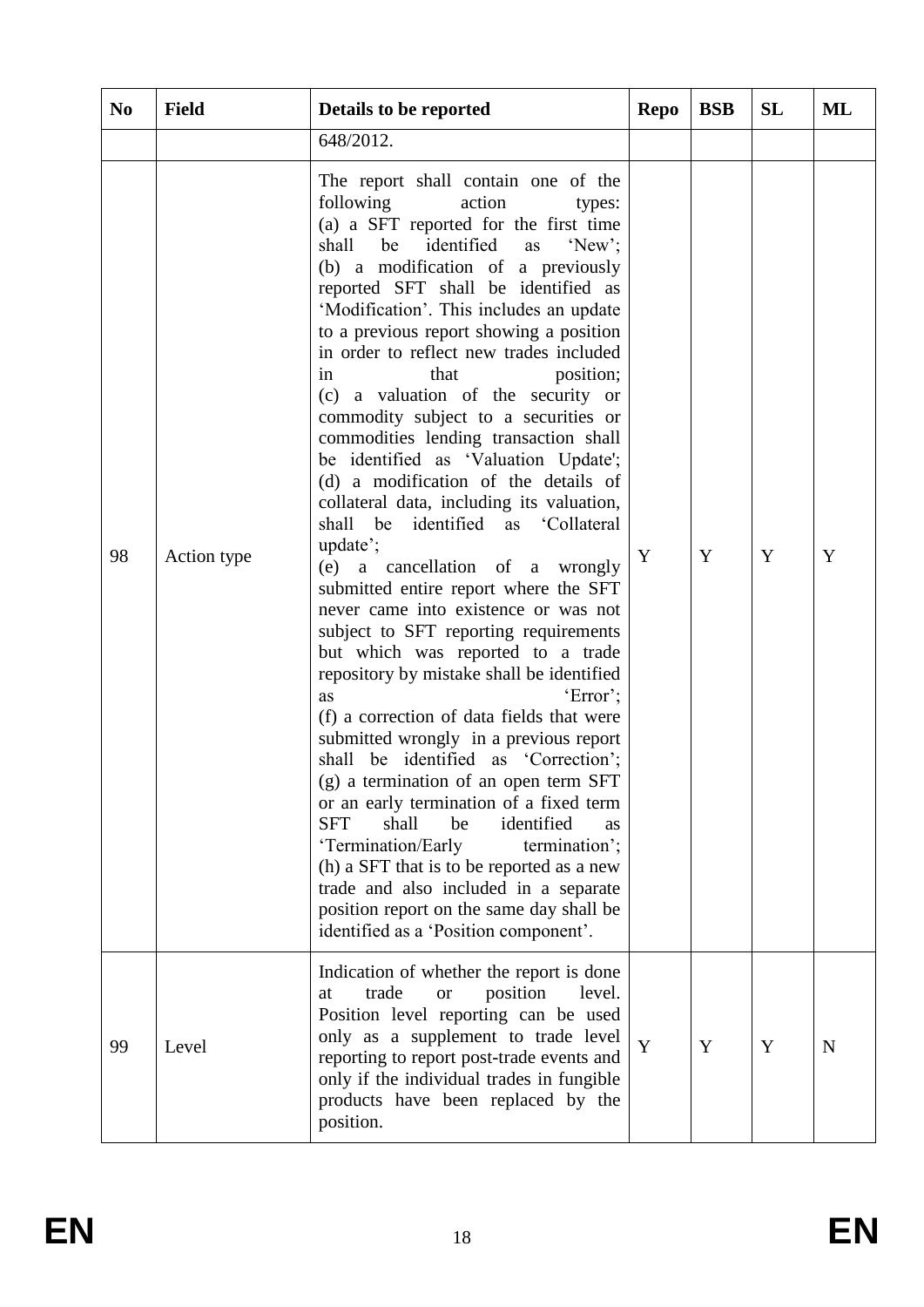| N <sub>0</sub> | <b>Field</b> | Details to be reported                                                                                                                                                                                                                                                                                                                                                                                                                                                                                                                                                                                                                                                                                                                                                                                                                                                                                                                                                                                                                                                                                                                                                                                                                                                                                                                                                                                                                                                       | <b>Repo</b> | <b>BSB</b> | SL | ML |
|----------------|--------------|------------------------------------------------------------------------------------------------------------------------------------------------------------------------------------------------------------------------------------------------------------------------------------------------------------------------------------------------------------------------------------------------------------------------------------------------------------------------------------------------------------------------------------------------------------------------------------------------------------------------------------------------------------------------------------------------------------------------------------------------------------------------------------------------------------------------------------------------------------------------------------------------------------------------------------------------------------------------------------------------------------------------------------------------------------------------------------------------------------------------------------------------------------------------------------------------------------------------------------------------------------------------------------------------------------------------------------------------------------------------------------------------------------------------------------------------------------------------------|-------------|------------|----|----|
|                |              | 648/2012.                                                                                                                                                                                                                                                                                                                                                                                                                                                                                                                                                                                                                                                                                                                                                                                                                                                                                                                                                                                                                                                                                                                                                                                                                                                                                                                                                                                                                                                                    |             |            |    |    |
| 98             | Action type  | The report shall contain one of the<br>following<br>action<br>types:<br>(a) a SFT reported for the first time<br>identified<br>'New'<br>shall<br>be<br>as<br>(b) a modification of a previously<br>reported SFT shall be identified as<br>'Modification'. This includes an update<br>to a previous report showing a position<br>in order to reflect new trades included<br>position;<br>that<br>in<br>(c) a valuation of the security or<br>commodity subject to a securities or<br>commodities lending transaction shall<br>be identified as 'Valuation Update';<br>(d) a modification of the details of<br>collateral data, including its valuation,<br>shall<br>identified as 'Collateral<br>be<br>update';<br>(e) a cancellation of a wrongly<br>submitted entire report where the SFT<br>never came into existence or was not<br>subject to SFT reporting requirements<br>but which was reported to a trade<br>repository by mistake shall be identified<br>'Error';<br>as<br>(f) a correction of data fields that were<br>submitted wrongly in a previous report<br>shall be identified as 'Correction';<br>(g) a termination of an open term SFT<br>or an early termination of a fixed term<br>identified<br><b>SFT</b><br>shall<br>be<br><b>as</b><br>'Termination/Early<br>termination';<br>(h) a SFT that is to be reported as a new<br>trade and also included in a separate<br>position report on the same day shall be<br>identified as a 'Position component'. | Y           | Y          | Y  | Y  |
| 99             | Level        | Indication of whether the report is done<br>trade<br>position<br>level.<br>at<br><b>or</b><br>Position level reporting can be used<br>only as a supplement to trade level<br>reporting to report post-trade events and<br>only if the individual trades in fungible<br>products have been replaced by the<br>position.                                                                                                                                                                                                                                                                                                                                                                                                                                                                                                                                                                                                                                                                                                                                                                                                                                                                                                                                                                                                                                                                                                                                                       | Y           | Y          | Y  | N  |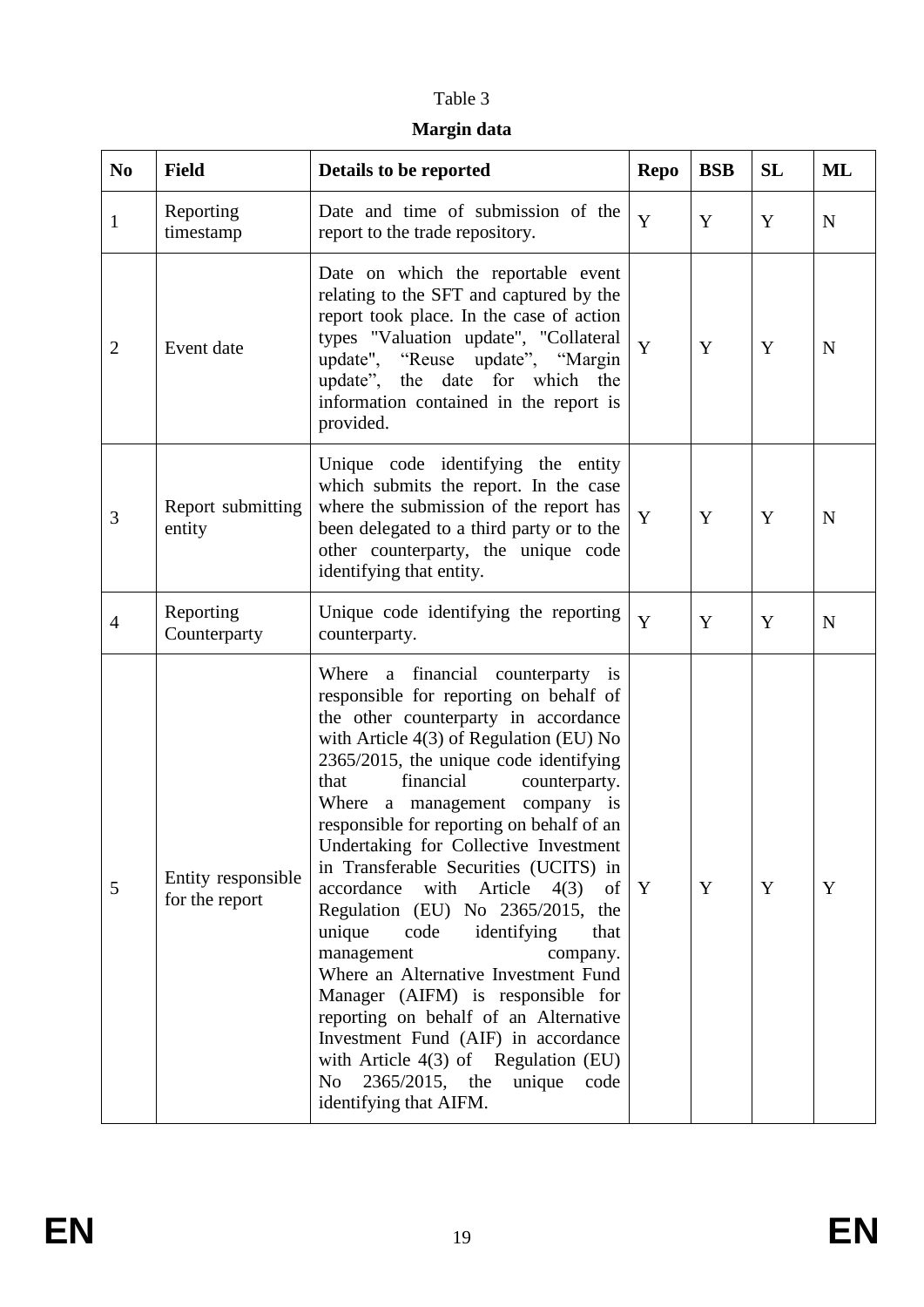## Table 3

## **Margin data**

| N <sub>0</sub> | <b>Field</b>                         | Details to be reported                                                                                                                                                                                                                                                                                                                                                                                                                                                                                                                                                                                                                                                                                                                                                                                                                                                      | <b>Repo</b> | <b>BSB</b> | <b>SL</b> | ML          |
|----------------|--------------------------------------|-----------------------------------------------------------------------------------------------------------------------------------------------------------------------------------------------------------------------------------------------------------------------------------------------------------------------------------------------------------------------------------------------------------------------------------------------------------------------------------------------------------------------------------------------------------------------------------------------------------------------------------------------------------------------------------------------------------------------------------------------------------------------------------------------------------------------------------------------------------------------------|-------------|------------|-----------|-------------|
| $\mathbf{1}$   | Reporting<br>timestamp               | Date and time of submission of the<br>report to the trade repository.                                                                                                                                                                                                                                                                                                                                                                                                                                                                                                                                                                                                                                                                                                                                                                                                       | Y           | Y          | Y         | $\mathbf N$ |
| $\overline{2}$ | Event date                           | Date on which the reportable event<br>relating to the SFT and captured by the<br>report took place. In the case of action<br>types "Valuation update", "Collateral<br>update", "Reuse update", "Margin<br>update", the date for which the<br>information contained in the report is<br>provided.                                                                                                                                                                                                                                                                                                                                                                                                                                                                                                                                                                            | Y           | Y          | Y         | $\mathbf N$ |
| 3              | Report submitting<br>entity          | Unique code identifying the entity<br>which submits the report. In the case<br>where the submission of the report has<br>been delegated to a third party or to the<br>other counterparty, the unique code<br>identifying that entity.                                                                                                                                                                                                                                                                                                                                                                                                                                                                                                                                                                                                                                       | Y           | Y          | Y         | N           |
| $\overline{4}$ | Reporting<br>Counterparty            | Unique code identifying the reporting<br>counterparty.                                                                                                                                                                                                                                                                                                                                                                                                                                                                                                                                                                                                                                                                                                                                                                                                                      | Y           | Y          | Y         | $\mathbf N$ |
| 5              | Entity responsible<br>for the report | Where a financial counterparty is<br>responsible for reporting on behalf of<br>the other counterparty in accordance<br>with Article $4(3)$ of Regulation (EU) No<br>2365/2015, the unique code identifying<br>financial<br>that<br>counterparty.<br>Where a management company is<br>responsible for reporting on behalf of an<br>Undertaking for Collective Investment<br>in Transferable Securities (UCITS) in<br>accordance<br>with<br>Article<br>4(3)<br>of <sub>1</sub><br>Regulation (EU) No 2365/2015, the<br>unique<br>code<br>identifying<br>that<br>management<br>company.<br>Where an Alternative Investment Fund<br>Manager (AIFM) is responsible for<br>reporting on behalf of an Alternative<br>Investment Fund (AIF) in accordance<br>with Article $4(3)$ of Regulation (EU)<br>unique<br>N <sub>o</sub><br>2365/2015, the<br>code<br>identifying that AIFM. | Y           | Y          | Y         | Y           |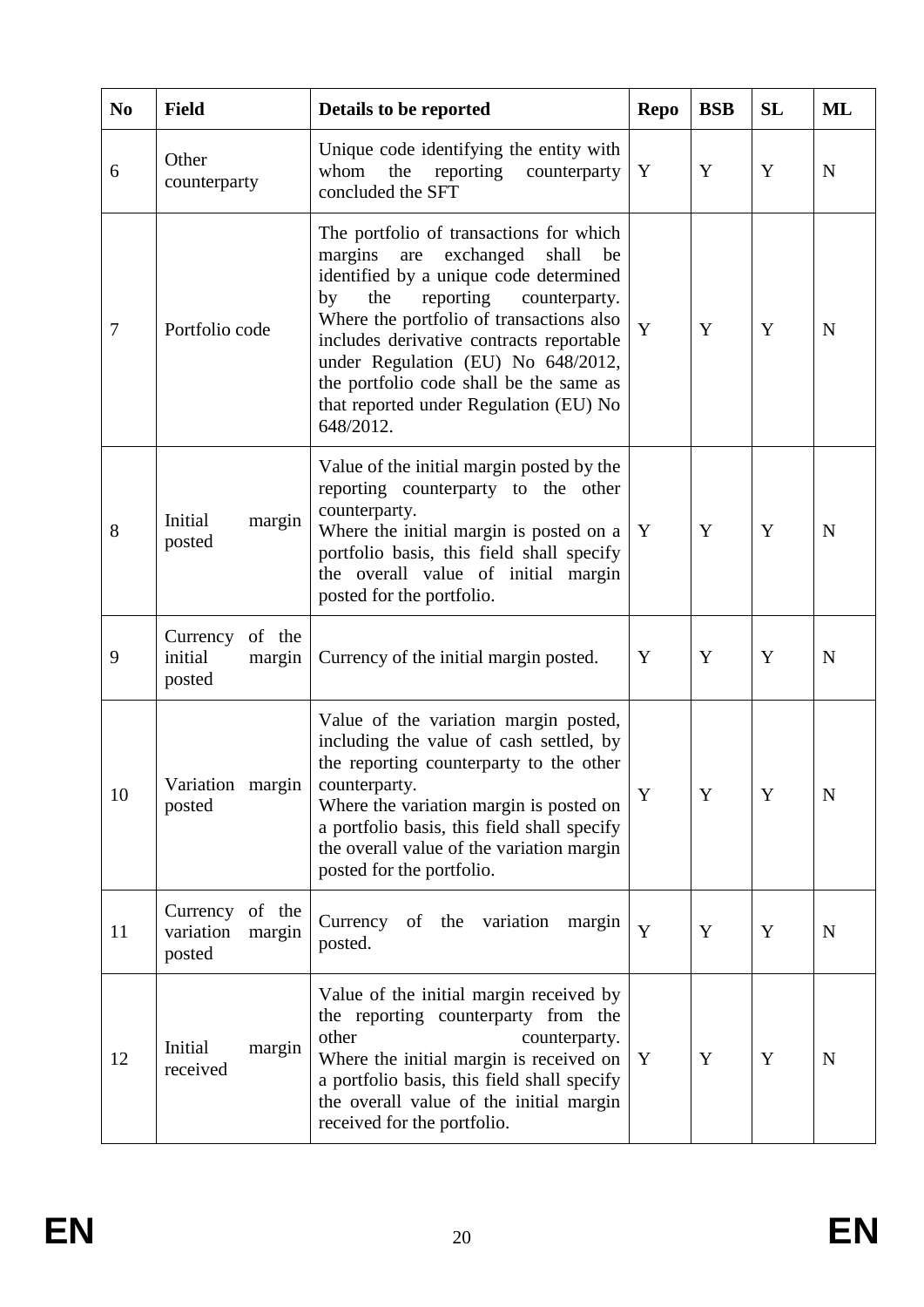| N <sub>0</sub> | <b>Field</b>                                        | Details to be reported                                                                                                                                                                                                                                                                                                                                                                                     | <b>Repo</b> | <b>BSB</b> | <b>SL</b> | ML          |
|----------------|-----------------------------------------------------|------------------------------------------------------------------------------------------------------------------------------------------------------------------------------------------------------------------------------------------------------------------------------------------------------------------------------------------------------------------------------------------------------------|-------------|------------|-----------|-------------|
| 6              | Other<br>counterparty                               | Unique code identifying the entity with<br>reporting<br>counterparty<br>whom<br>the<br>concluded the SFT                                                                                                                                                                                                                                                                                                   | Y           | Y          | Y         | N           |
| $\tau$         | Portfolio code                                      | The portfolio of transactions for which<br>exchanged<br>margins<br>shall<br>are<br>be<br>identified by a unique code determined<br>the<br>reporting<br>by<br>counterparty.<br>Where the portfolio of transactions also<br>includes derivative contracts reportable<br>under Regulation (EU) No 648/2012,<br>the portfolio code shall be the same as<br>that reported under Regulation (EU) No<br>648/2012. | Y           | Y          | Y         | N           |
| 8              | Initial<br>margin<br>posted                         | Value of the initial margin posted by the<br>reporting counterparty to the other<br>counterparty.<br>Where the initial margin is posted on a<br>portfolio basis, this field shall specify<br>the overall value of initial margin<br>posted for the portfolio.                                                                                                                                              | Y           | Y          | Y         | N           |
| 9              | of the<br>Currency<br>initial<br>margin<br>posted   | Currency of the initial margin posted.                                                                                                                                                                                                                                                                                                                                                                     | Y           | Y          | Y         | N           |
| 10             | Variation margin<br>posted                          | Value of the variation margin posted,<br>including the value of cash settled, by<br>the reporting counterparty to the other<br>counterparty.<br>Where the variation margin is posted on<br>a portfolio basis, this field shall specify<br>the overall value of the variation margin<br>posted for the portfolio.                                                                                           | Y           | Y          | Y         | N           |
| 11             | Currency<br>of the<br>variation<br>margin<br>posted | of the variation<br>Currency<br>margin<br>posted.                                                                                                                                                                                                                                                                                                                                                          | Y           | Y          | Y         | N           |
| 12             | Initial<br>margin<br>received                       | Value of the initial margin received by<br>the reporting counterparty from the<br>other<br>counterparty.<br>Where the initial margin is received on<br>a portfolio basis, this field shall specify<br>the overall value of the initial margin<br>received for the portfolio.                                                                                                                               | Y           | Y          | Y         | $\mathbf N$ |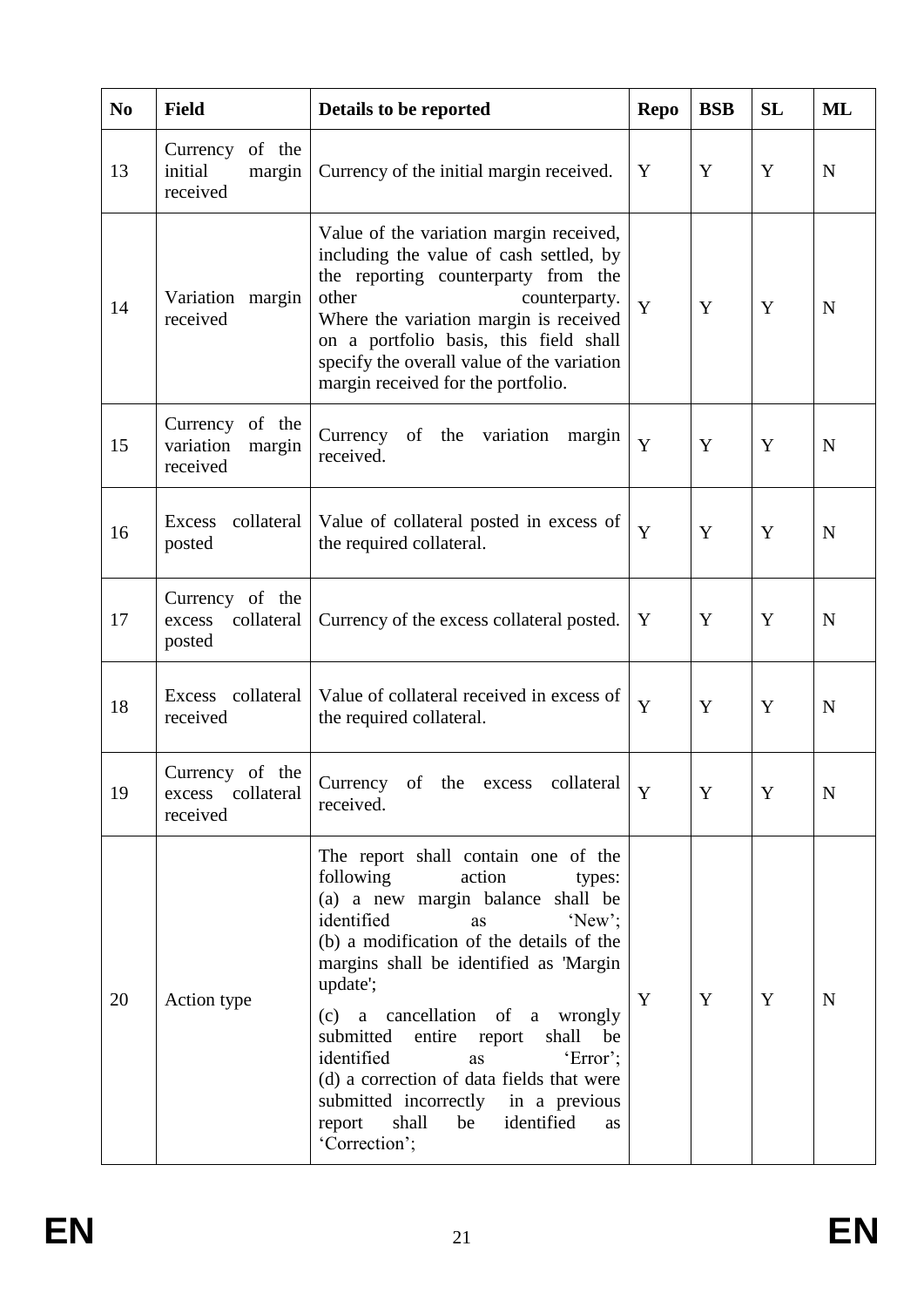| N <sub>0</sub> | <b>Field</b>                                       | Details to be reported                                                                                                                                                                                                                                                                                                                                                                                                                                                                                           | <b>Repo</b> | <b>BSB</b> | <b>SL</b> | ML          |
|----------------|----------------------------------------------------|------------------------------------------------------------------------------------------------------------------------------------------------------------------------------------------------------------------------------------------------------------------------------------------------------------------------------------------------------------------------------------------------------------------------------------------------------------------------------------------------------------------|-------------|------------|-----------|-------------|
| 13             | Currency of the<br>initial<br>margin<br>received   | Currency of the initial margin received.                                                                                                                                                                                                                                                                                                                                                                                                                                                                         | Y           | Y          | Y         | N           |
| 14             | Variation margin<br>received                       | Value of the variation margin received,<br>including the value of cash settled, by<br>the reporting counterparty from the<br>other<br>counterparty.<br>Where the variation margin is received<br>on a portfolio basis, this field shall<br>specify the overall value of the variation<br>margin received for the portfolio.                                                                                                                                                                                      | Y           | Y          | Y         | N           |
| 15             | Currency of the<br>variation<br>margin<br>received | Currency of the variation<br>margin<br>received.                                                                                                                                                                                                                                                                                                                                                                                                                                                                 | Y           | Y          | Y         | N           |
| 16             | collateral<br><b>Excess</b><br>posted              | Value of collateral posted in excess of<br>the required collateral.                                                                                                                                                                                                                                                                                                                                                                                                                                              | Y           | Y          | Y         | $\mathbf N$ |
| 17             | Currency of the<br>collateral<br>excess<br>posted  | Currency of the excess collateral posted.                                                                                                                                                                                                                                                                                                                                                                                                                                                                        | Y           | Y          | Y         | $\mathbf N$ |
| 18             | Excess collateral<br>received                      | Value of collateral received in excess of<br>the required collateral.                                                                                                                                                                                                                                                                                                                                                                                                                                            | Y           | Y          | Y         | N           |
| 19             | Currency of the<br>excess collateral<br>received   | Currency of the excess collateral<br>received.                                                                                                                                                                                                                                                                                                                                                                                                                                                                   | Y           | Y          | Y         | N           |
| 20             | Action type                                        | The report shall contain one of the<br>following<br>action<br>types:<br>(a) a new margin balance shall be<br>identified<br>'New<br>as<br>(b) a modification of the details of the<br>margins shall be identified as 'Margin<br>update';<br>(c) a cancellation of a wrongly<br>submitted<br>entire report<br>shall<br>be<br>identified<br>'Error';<br>as<br>(d) a correction of data fields that were<br>submitted incorrectly in a previous<br>identified<br>shall<br>report<br>be<br><b>as</b><br>'Correction'; | Y           | Y          | Y         | N           |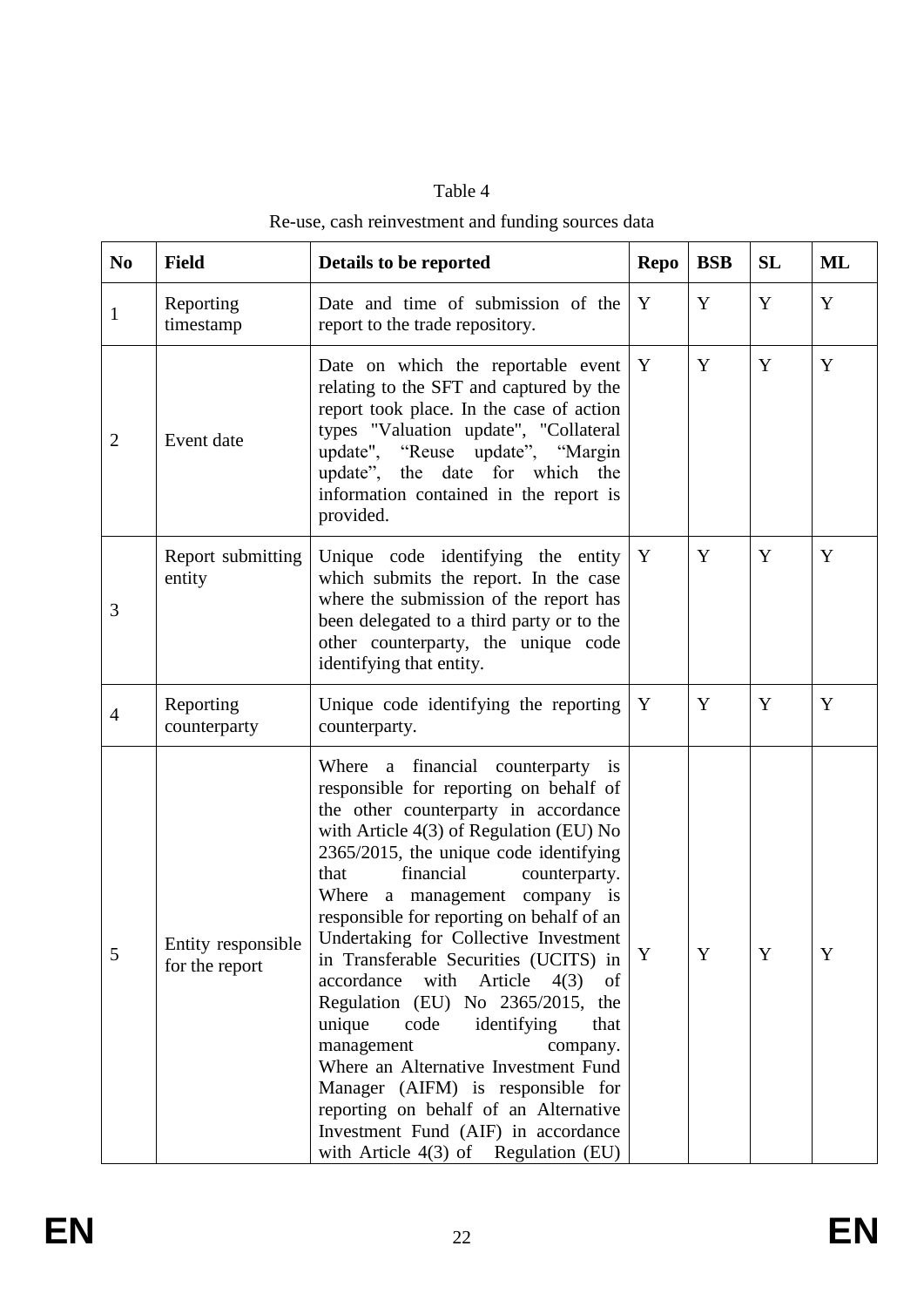| 'able |
|-------|
|-------|

# Re-use, cash reinvestment and funding sources data

| N <sub>0</sub> | <b>Field</b>                         | Details to be reported                                                                                                                                                                                                                                                                                                                                                                                                                                                                                                                                                                                                                                                                                                                                                      | <b>Repo</b> | <b>BSB</b> | <b>SL</b> | <b>ML</b> |
|----------------|--------------------------------------|-----------------------------------------------------------------------------------------------------------------------------------------------------------------------------------------------------------------------------------------------------------------------------------------------------------------------------------------------------------------------------------------------------------------------------------------------------------------------------------------------------------------------------------------------------------------------------------------------------------------------------------------------------------------------------------------------------------------------------------------------------------------------------|-------------|------------|-----------|-----------|
| $\mathbf{1}$   | Reporting<br>timestamp               | Date and time of submission of the<br>report to the trade repository.                                                                                                                                                                                                                                                                                                                                                                                                                                                                                                                                                                                                                                                                                                       | Y           | Y          | Y         | Y         |
| $\overline{2}$ | Event date                           | Date on which the reportable event<br>relating to the SFT and captured by the<br>report took place. In the case of action<br>types "Valuation update", "Collateral<br>update", "Reuse update", "Margin<br>update", the date for which the<br>information contained in the report is<br>provided.                                                                                                                                                                                                                                                                                                                                                                                                                                                                            | Y           | Y          | Y         | Y         |
| 3              | Report submitting<br>entity          | Unique code identifying the entity<br>which submits the report. In the case<br>where the submission of the report has<br>been delegated to a third party or to the<br>other counterparty, the unique code<br>identifying that entity.                                                                                                                                                                                                                                                                                                                                                                                                                                                                                                                                       | Y           | Y          | Y         | Y         |
| $\overline{4}$ | Reporting<br>counterparty            | Unique code identifying the reporting<br>counterparty.                                                                                                                                                                                                                                                                                                                                                                                                                                                                                                                                                                                                                                                                                                                      | Y           | Y          | Y         | Y         |
| 5              | Entity responsible<br>for the report | Where a financial counterparty is<br>responsible for reporting on behalf of<br>the other counterparty in accordance<br>with Article $4(3)$ of Regulation (EU) No<br>2365/2015, the unique code identifying<br>financial<br>that<br>counterparty.<br>Where a management company is<br>responsible for reporting on behalf of an<br>Undertaking for Collective Investment<br>in Transferable Securities (UCITS) in<br>accordance with Article<br>4(3)<br>of<br>Regulation (EU) No 2365/2015,<br>the<br>unique<br>code<br>identifying<br>that<br>management<br>company.<br>Where an Alternative Investment Fund<br>Manager (AIFM) is responsible for<br>reporting on behalf of an Alternative<br>Investment Fund (AIF) in accordance<br>with Article $4(3)$ of Regulation (EU) | Y           | Y          | Y         | Y         |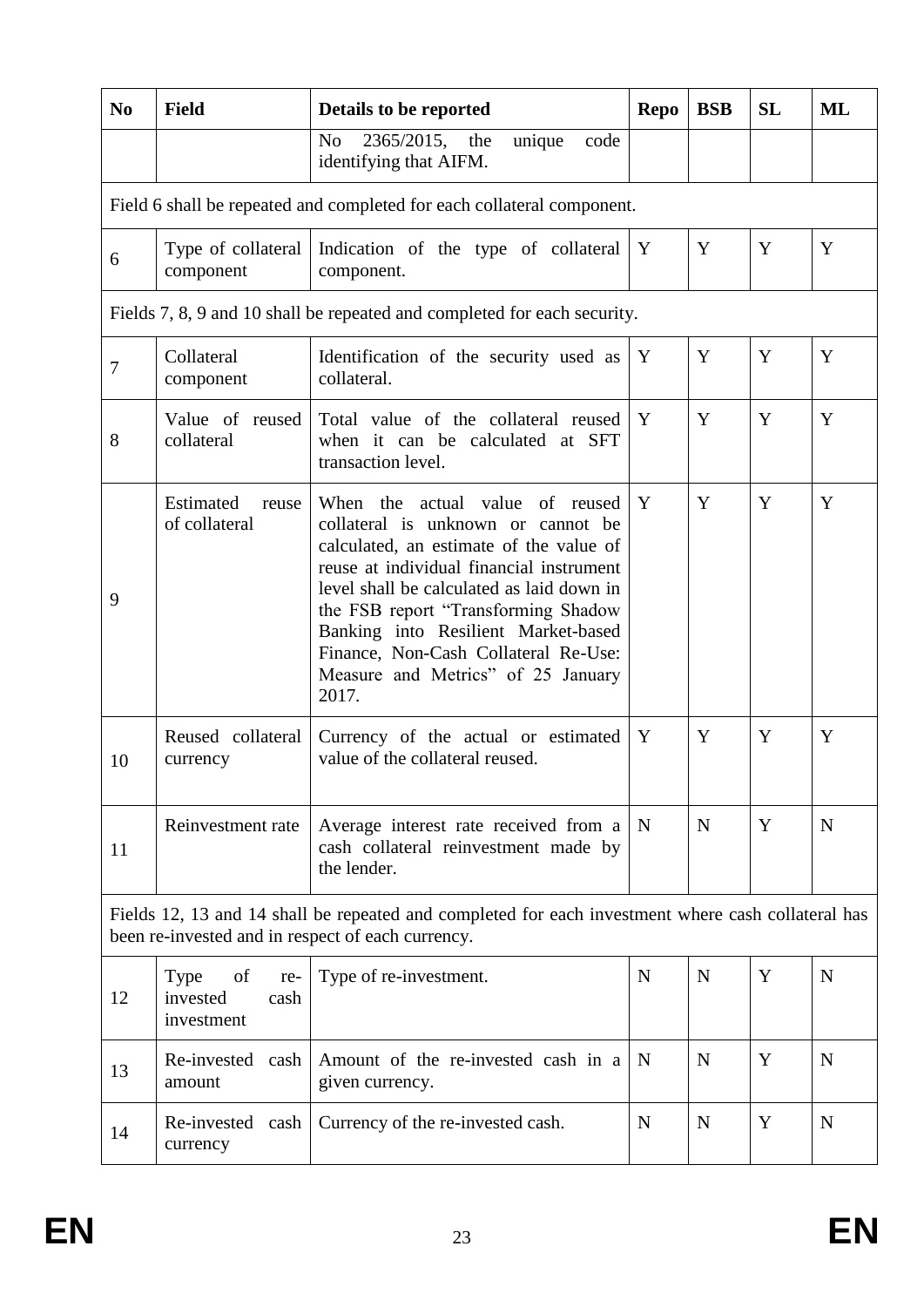| N <sub>0</sub>                                                                                                                                          | <b>Field</b>                                        | Details to be reported                                                                                                                                                                                                                                                                                                                                                         | <b>Repo</b> | <b>BSB</b> | <b>SL</b> | <b>ML</b>   |  |  |  |  |
|---------------------------------------------------------------------------------------------------------------------------------------------------------|-----------------------------------------------------|--------------------------------------------------------------------------------------------------------------------------------------------------------------------------------------------------------------------------------------------------------------------------------------------------------------------------------------------------------------------------------|-------------|------------|-----------|-------------|--|--|--|--|
|                                                                                                                                                         |                                                     | N <sub>o</sub><br>2365/2015, the<br>unique<br>code<br>identifying that AIFM.                                                                                                                                                                                                                                                                                                   |             |            |           |             |  |  |  |  |
| Field 6 shall be repeated and completed for each collateral component.                                                                                  |                                                     |                                                                                                                                                                                                                                                                                                                                                                                |             |            |           |             |  |  |  |  |
| 6                                                                                                                                                       | Type of collateral<br>component                     | Indication of the type of collateral<br>component.                                                                                                                                                                                                                                                                                                                             | Y           | Y          | Y         | Y           |  |  |  |  |
| Fields 7, 8, 9 and 10 shall be repeated and completed for each security.                                                                                |                                                     |                                                                                                                                                                                                                                                                                                                                                                                |             |            |           |             |  |  |  |  |
| $\overline{7}$                                                                                                                                          | Collateral<br>component                             | Identification of the security used as<br>collateral.                                                                                                                                                                                                                                                                                                                          | Y           | Y          | Y         | Y           |  |  |  |  |
| 8                                                                                                                                                       | Value of reused<br>collateral                       | Total value of the collateral reused<br>when it can be calculated at SFT<br>transaction level.                                                                                                                                                                                                                                                                                 | Y           | Y          | Y         | Y           |  |  |  |  |
| 9                                                                                                                                                       | Estimated<br>reuse<br>of collateral                 | When the actual value of reused<br>collateral is unknown or cannot be<br>calculated, an estimate of the value of<br>reuse at individual financial instrument<br>level shall be calculated as laid down in<br>the FSB report "Transforming Shadow<br>Banking into Resilient Market-based<br>Finance, Non-Cash Collateral Re-Use:<br>Measure and Metrics" of 25 January<br>2017. | Y           | Y          | Y         | Y           |  |  |  |  |
| 10                                                                                                                                                      | Reused collateral<br>currency                       | Currency of the actual or estimated<br>value of the collateral reused.                                                                                                                                                                                                                                                                                                         | Y           | Y          | Y         | Y           |  |  |  |  |
| 11                                                                                                                                                      | Reinvestment rate                                   | Average interest rate received from a<br>cash collateral reinvestment made by<br>the lender.                                                                                                                                                                                                                                                                                   | N           | N          | Y         | N           |  |  |  |  |
| Fields 12, 13 and 14 shall be repeated and completed for each investment where cash collateral has<br>been re-invested and in respect of each currency. |                                                     |                                                                                                                                                                                                                                                                                                                                                                                |             |            |           |             |  |  |  |  |
| 12                                                                                                                                                      | Type<br>of<br>re-<br>invested<br>cash<br>investment | Type of re-investment.                                                                                                                                                                                                                                                                                                                                                         | $\mathbf N$ | N          | Y         | N           |  |  |  |  |
| 13                                                                                                                                                      | Re-invested cash<br>amount                          | Amount of the re-invested cash in a<br>given currency.                                                                                                                                                                                                                                                                                                                         | N           | N          | Y         | N           |  |  |  |  |
| 14                                                                                                                                                      | Re-invested cash<br>currency                        | Currency of the re-invested cash.                                                                                                                                                                                                                                                                                                                                              | N           | N          | Y         | $\mathbf N$ |  |  |  |  |